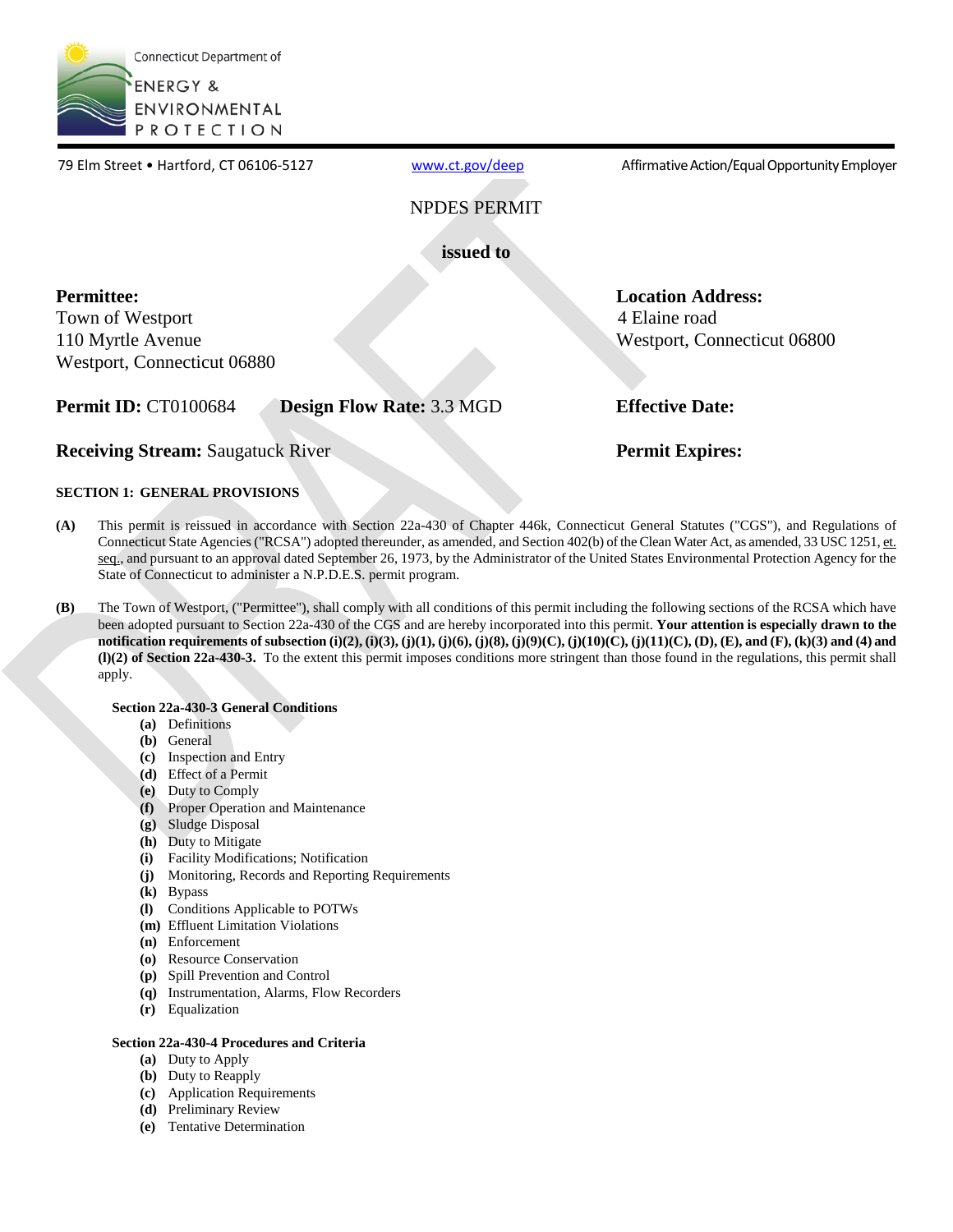

www.ct.gov/deep NPDES PERMIT **issued to Permittee:**  Town of Westport 110 Myrtle Avenue Westport, Connecticut 06880 **Location Address:**  4 Elaine road Westport, Connecticut 06800 **Permit ID:** CT0100684 **Design Flow Rate:** 3.3 MGD **Effective Date: Receiving Stream:** Saugatuck River **Permit Expires: Permit Expires:** 79 Elm Street • Hartford, CT 06106-5127 [www.ct.gov/deep](http://www.ct.gov/deep) Affirmative Action/Equal Opportunity Employer

### **SECTION 1: GENERAL PROVISIONS**

- **(A)** This permit is reissued in accordance with Section 22a-430 of Chapter 446k, Connecticut General Statutes ("CGS"), and Regulations of Connecticut State Agencies ("RCSA") adopted thereunder, as amended, and Section 402(b) of the Clean Water Act, as amended, 33 USC 1251, et. seq., and pursuant to an approval dated September 26, 1973, by the Administrator of the United States Environmental Protection Agency for the State of Connecticut to administer a N.P.D.E.S. permit program.
- **(B)** The Town of Westport, ("Permittee"), shall comply with all conditions of this permit including the following sections of the RCSA which have been adopted pursuant to Section 22a-430 of the CGS and are hereby incorporated into this permit. **Your attention is especially drawn to the notification requirements of subsection (i)(2), (i)(3), (j)(1), (j)(6), (j)(8), (j)(9)(C), (j)(10)(C), (j)(11)(C), (D), (E), and (F), (k)(3) and (4) and (l)(2) of Section 22a-430-3.** To the extent this permit imposes conditions more stringent than those found in the regulations, this permit shall apply.

### **Section 22a-430-3 General Conditions**

- **(a)** Definitions
- **(b)** General
- **(c)** Inspection and Entry
- **(d)** Effect of a Permit
- **(e)** Duty to Comply
- **(f)** Proper Operation and Maintenance
- **(g)** Sludge Disposal
- **(h)** Duty to Mitigate
- **(i)** Facility Modifications; Notification
- **(j)** Monitoring, Records and Reporting Requirements
- **(k)** Bypass
- **(l)** Conditions Applicable to POTWs
- **(m)** Effluent Limitation Violations
- **(n)** Enforcement
- **(o)** Resource Conservation
- **(p)** Spill Prevention and Control
- **(q)** Instrumentation, Alarms, Flow Recorders
- **(r)** Equalization

### **Section 22a-430-4 Procedures and Criteria**

- **(a)** Duty to Apply
- **(b)** Duty to Reapply
- **(c)** Application Requirements
- **(d)** Preliminary Review
- **(e)** Tentative Determination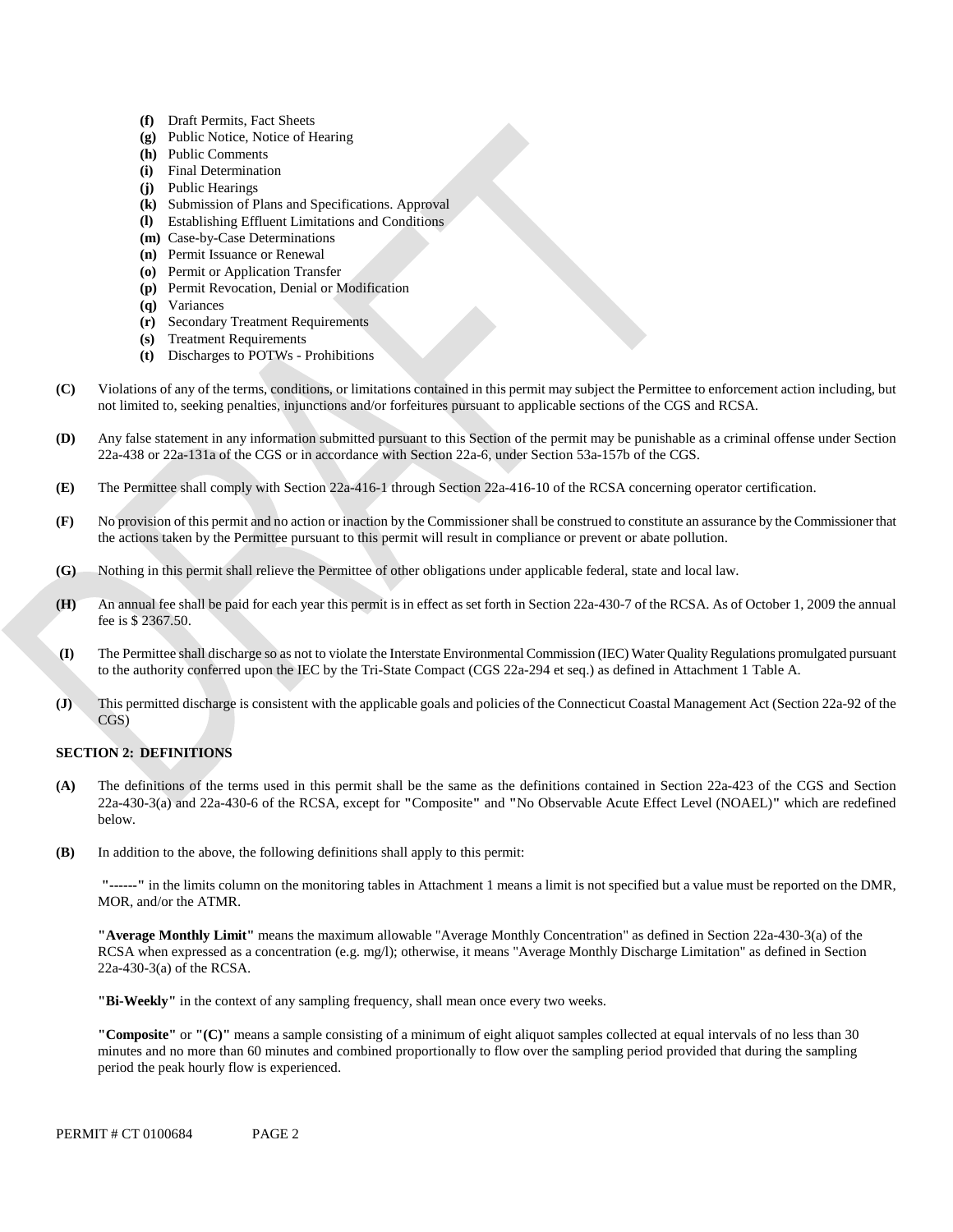- **(f)** Draft Permits, Fact Sheets
- **(g)** Public Notice, Notice of Hearing
- **(h)** Public Comments
- **(i)** Final Determination
- **(j)** Public Hearings
- **(k)** Submission of Plans and Specifications. Approval
- **(l)**  Establishing Effluent Limitations and Conditions
- **(m)** Case-by-Case Determinations
- **(n)** Permit Issuance or Renewal
- **(o)** Permit or Application Transfer
- **(p)** Permit Revocation, Denial or Modification
- **(q)** Variances
- **(r)** Secondary Treatment Requirements
- **(s)** Treatment Requirements
- **(t)** Discharges to POTWs Prohibitions
- **(C)** Violations of any of the terms, conditions, or limitations contained in this permit may subject the Permittee to enforcement action including, but not limited to, seeking penalties, injunctions and/or forfeitures pursuant to applicable sections of the CGS and RCSA.
- **(D)** Any false statement in any information submitted pursuant to this Section of the permit may be punishable as a criminal offense under Section 22a-438 or 22a-131a of the CGS or in accordance with Section 22a-6, under Section 53a-157b of the CGS.
- **(E)** The Permittee shall comply with Section 22a-416-1 through Section 22a-416-10 of the RCSA concerning operator certification.
- **(F)** No provision of this permit and no action or inaction by the Commissioner shall be construed to constitute an assurance by the Commissioner that the actions taken by the Permittee pursuant to this permit will result in compliance or prevent or abate pollution.
- **(G)** Nothing in this permit shall relieve the Permittee of other obligations under applicable federal, state and local law.
- **(H)** An annual fee shall be paid for each year this permit is in effect as set forth in Section 22a-430-7 of the RCSA. As of October 1, 2009 the annual fee is \$ 2367.50.
- **(I)** The Permittee shall discharge so as not to violate the Interstate Environmental Commission (IEC) Water Quality Regulations promulgated pursuant to the authority conferred upon the IEC by the Tri-State Compact (CGS 22a-294 et seq.) as defined in Attachment 1 Table A.
- **(J)** This permitted discharge is consistent with the applicable goals and policies of the Connecticut Coastal Management Act (Section 22a-92 of the CGS)

### **SECTION 2: DEFINITIONS**

- **(A)** The definitions of the terms used in this permit shall be the same as the definitions contained in Section 22a-423 of the CGS and Section 22a-430-3(a) and 22a-430-6 of the RCSA, except for **"**Composite**"** and **"**No Observable Acute Effect Level (NOAEL)**"** which are redefined below.
- **(B)** In addition to the above, the following definitions shall apply to this permit:

 **"------"** in the limits column on the monitoring tables in Attachment 1 means a limit is not specified but a value must be reported on the DMR, MOR, and/or the ATMR.

**"Average Monthly Limit"** means the maximum allowable "Average Monthly Concentration" as defined in Section 22a-430-3(a) of the RCSA when expressed as a concentration (e.g. mg/l); otherwise, it means "Average Monthly Discharge Limitation" as defined in Section 22a-430-3(a) of the RCSA.

**"Bi-Weekly"** in the context of any sampling frequency, shall mean once every two weeks.

**"Composite"** or **"(C)"** means a sample consisting of a minimum of eight aliquot samples collected at equal intervals of no less than 30 minutes and no more than 60 minutes and combined proportionally to flow over the sampling period provided that during the sampling period the peak hourly flow is experienced.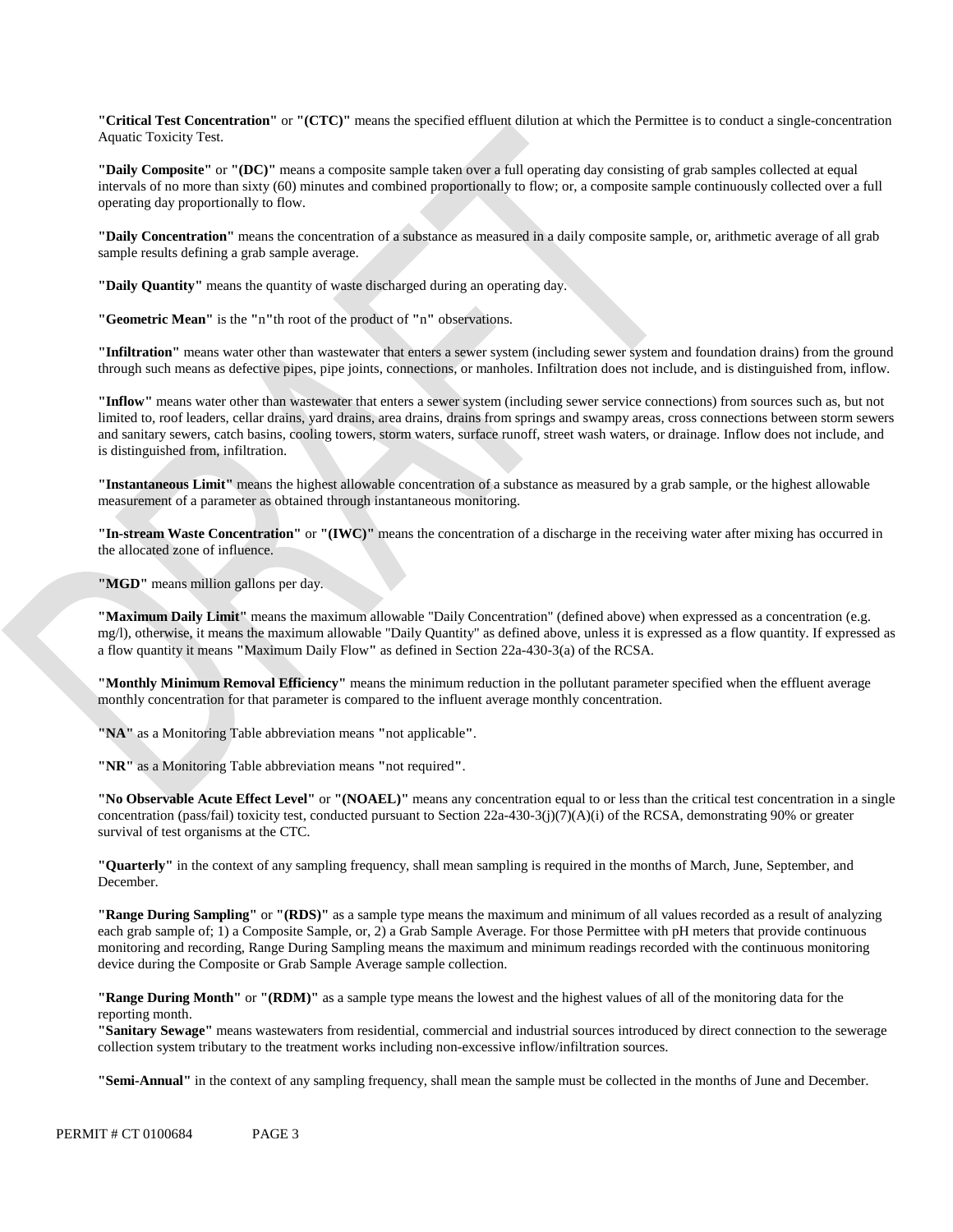**"Critical Test Concentration"** or **"(CTC)"** means the specified effluent dilution at which the Permittee is to conduct a single-concentration Aquatic Toxicity Test.

**"Daily Composite"** or **"(DC)"** means a composite sample taken over a full operating day consisting of grab samples collected at equal intervals of no more than sixty (60) minutes and combined proportionally to flow; or, a composite sample continuously collected over a full operating day proportionally to flow.

**"Daily Concentration"** means the concentration of a substance as measured in a daily composite sample, or, arithmetic average of all grab sample results defining a grab sample average.

**"Daily Quantity"** means the quantity of waste discharged during an operating day.

**"Geometric Mean"** is the **"**n**"**th root of the product of **"**n**"** observations.

**"Infiltration"** means water other than wastewater that enters a sewer system (including sewer system and foundation drains) from the ground through such means as defective pipes, pipe joints, connections, or manholes. Infiltration does not include, and is distinguished from, inflow.

**"Inflow"** means water other than wastewater that enters a sewer system (including sewer service connections) from sources such as, but not limited to, roof leaders, cellar drains, yard drains, area drains, drains from springs and swampy areas, cross connections between storm sewers and sanitary sewers, catch basins, cooling towers, storm waters, surface runoff, street wash waters, or drainage. Inflow does not include, and is distinguished from, infiltration.

**"Instantaneous Limit"** means the highest allowable concentration of a substance as measured by a grab sample, or the highest allowable measurement of a parameter as obtained through instantaneous monitoring.

**"In-stream Waste Concentration"** or **"(IWC)"** means the concentration of a discharge in the receiving water after mixing has occurred in the allocated zone of influence.

**"MGD"** means million gallons per day.

**"Maximum Daily Limit"** means the maximum allowable "Daily Concentration" (defined above) when expressed as a concentration (e.g. mg/l), otherwise, it means the maximum allowable "Daily Quantity" as defined above, unless it is expressed as a flow quantity. If expressed as a flow quantity it means **"**Maximum Daily Flow**"** as defined in Section 22a-430-3(a) of the RCSA.

**"Monthly Minimum Removal Efficiency"** means the minimum reduction in the pollutant parameter specified when the effluent average monthly concentration for that parameter is compared to the influent average monthly concentration.

**"NA"** as a Monitoring Table abbreviation means **"**not applicable**"**.

**"NR"** as a Monitoring Table abbreviation means **"**not required**"**.

**"No Observable Acute Effect Level"** or **"(NOAEL)"** means any concentration equal to or less than the critical test concentration in a single concentration (pass/fail) toxicity test, conducted pursuant to Section  $22a-430-3(i)(7)(A)(i)$  of the RCSA, demonstrating 90% or greater survival of test organisms at the CTC.

 December. **"Quarterly"** in the context of any sampling frequency, shall mean sampling is required in the months of March, June, September, and

**"Range During Sampling"** or **"(RDS)"** as a sample type means the maximum and minimum of all values recorded as a result of analyzing each grab sample of; 1) a Composite Sample, or, 2) a Grab Sample Average. For those Permittee with pH meters that provide continuous monitoring and recording, Range During Sampling means the maximum and minimum readings recorded with the continuous monitoring device during the Composite or Grab Sample Average sample collection.

**"Range During Month"** or **"(RDM)"** as a sample type means the lowest and the highest values of all of the monitoring data for the reporting month.

**"Sanitary Sewage"** means wastewaters from residential, commercial and industrial sources introduced by direct connection to the sewerage collection system tributary to the treatment works including non-excessive inflow/infiltration sources.

**"Semi-Annual"** in the context of any sampling frequency, shall mean the sample must be collected in the months of June and December.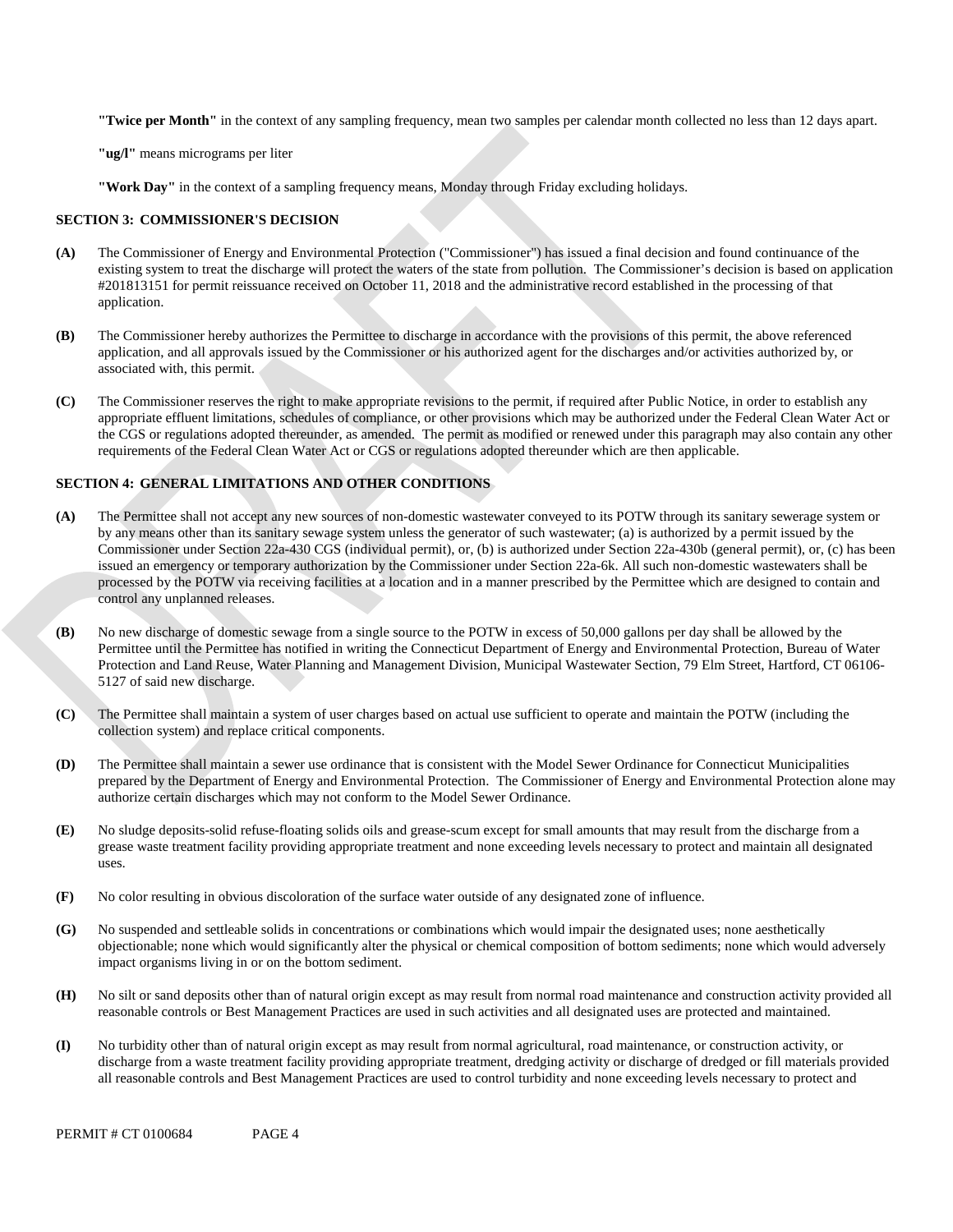**"Twice per Month"** in the context of any sampling frequency, mean two samples per calendar month collected no less than 12 days apart.

**"ug/l"** means micrograms per liter

**"Work Day"** in the context of a sampling frequency means, Monday through Friday excluding holidays.

### **SECTION 3: COMMISSIONER'S DECISION**

- **(A)** The Commissioner of Energy and Environmental Protection ("Commissioner") has issued a final decision and found continuance of the existing system to treat the discharge will protect the waters of the state from pollution. The Commissioner's decision is based on application #201813151 for permit reissuance received on October 11, 2018 and the administrative record established in the processing of that application.
- **(B)** The Commissioner hereby authorizes the Permittee to discharge in accordance with the provisions of this permit, the above referenced application, and all approvals issued by the Commissioner or his authorized agent for the discharges and/or activities authorized by, or associated with, this permit.
- **(C)** The Commissioner reserves the right to make appropriate revisions to the permit, if required after Public Notice, in order to establish any appropriate effluent limitations, schedules of compliance, or other provisions which may be authorized under the Federal Clean Water Act or the CGS or regulations adopted thereunder, as amended. The permit as modified or renewed under this paragraph may also contain any other requirements of the Federal Clean Water Act or CGS or regulations adopted thereunder which are then applicable.

### **SECTION 4: GENERAL LIMITATIONS AND OTHER CONDITIONS**

- **(A)** The Permittee shall not accept any new sources of non-domestic wastewater conveyed to its POTW through its sanitary sewerage system or by any means other than its sanitary sewage system unless the generator of such wastewater; (a) is authorized by a permit issued by the Commissioner under Section 22a-430 CGS (individual permit), or, (b) is authorized under Section 22a-430b (general permit), or, (c) has been issued an emergency or temporary authorization by the Commissioner under Section 22a-6k. All such non-domestic wastewaters shall be processed by the POTW via receiving facilities at a location and in a manner prescribed by the Permittee which are designed to contain and control any unplanned releases.
- **(B)** No new discharge of domestic sewage from a single source to the POTW in excess of 50,000 gallons per day shall be allowed by the Permittee until the Permittee has notified in writing the Connecticut Department of Energy and Environmental Protection, Bureau of Water Protection and Land Reuse, Water Planning and Management Division, Municipal Wastewater Section, 79 Elm Street, Hartford, CT 06106- 5127 of said new discharge.
- **(C)** The Permittee shall maintain a system of user charges based on actual use sufficient to operate and maintain the POTW (including the collection system) and replace critical components.
- **(D)** The Permittee shall maintain a sewer use ordinance that is consistent with the Model Sewer Ordinance for Connecticut Municipalities prepared by the Department of Energy and Environmental Protection. The Commissioner of Energy and Environmental Protection alone may authorize certain discharges which may not conform to the Model Sewer Ordinance.
- **(E)** No sludge deposits-solid refuse-floating solids oils and grease-scum except for small amounts that may result from the discharge from a grease waste treatment facility providing appropriate treatment and none exceeding levels necessary to protect and maintain all designated uses.
- **(F)** No color resulting in obvious discoloration of the surface water outside of any designated zone of influence.
- **(G)** No suspended and settleable solids in concentrations or combinations which would impair the designated uses; none aesthetically objectionable; none which would significantly alter the physical or chemical composition of bottom sediments; none which would adversely impact organisms living in or on the bottom sediment.
- **(H)** No silt or sand deposits other than of natural origin except as may result from normal road maintenance and construction activity provided all reasonable controls or Best Management Practices are used in such activities and all designated uses are protected and maintained.
- **(I)** No turbidity other than of natural origin except as may result from normal agricultural, road maintenance, or construction activity, or discharge from a waste treatment facility providing appropriate treatment, dredging activity or discharge of dredged or fill materials provided all reasonable controls and Best Management Practices are used to control turbidity and none exceeding levels necessary to protect and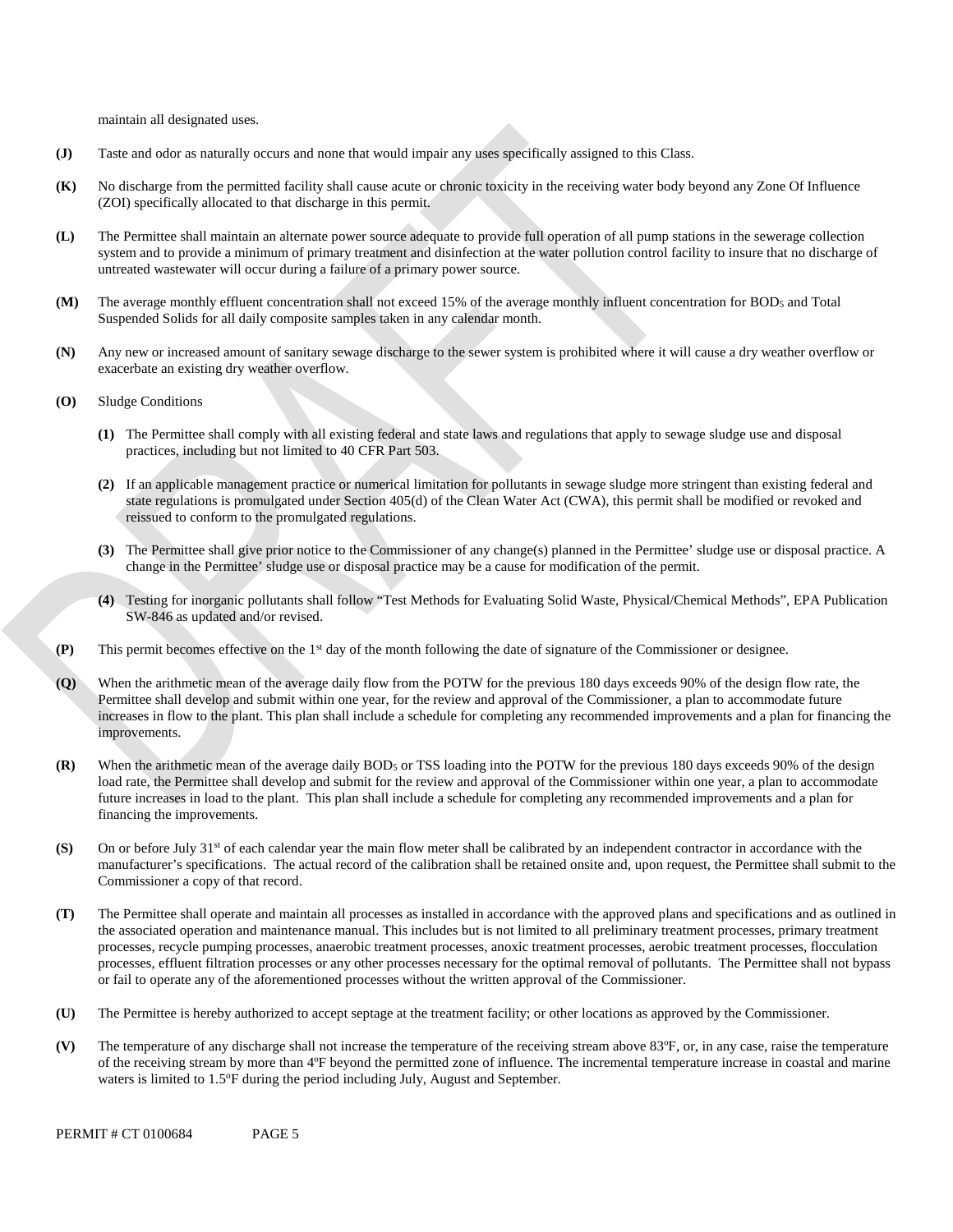maintain all designated uses.

- **(J)** Taste and odor as naturally occurs and none that would impair any uses specifically assigned to this Class.
- **(K)** No discharge from the permitted facility shall cause acute or chronic toxicity in the receiving water body beyond any Zone Of Influence (ZOI) specifically allocated to that discharge in this permit.
- **(L)** The Permittee shall maintain an alternate power source adequate to provide full operation of all pump stations in the sewerage collection system and to provide a minimum of primary treatment and disinfection at the water pollution control facility to insure that no discharge of untreated wastewater will occur during a failure of a primary power source.
- **(M)** The average monthly effluent concentration shall not exceed 15% of the average monthly influent concentration for BOD5 and Total Suspended Solids for all daily composite samples taken in any calendar month.
- **(N)** Any new or increased amount of sanitary sewage discharge to the sewer system is prohibited where it will cause a dry weather overflow or exacerbate an existing dry weather overflow.
- **(O)** Sludge Conditions
	- **(1)** The Permittee shall comply with all existing federal and state laws and regulations that apply to sewage sludge use and disposal practices, including but not limited to 40 CFR Part 503.
	- **(2)** If an applicable management practice or numerical limitation for pollutants in sewage sludge more stringent than existing federal and state regulations is promulgated under Section 405(d) of the Clean Water Act (CWA), this permit shall be modified or revoked and reissued to conform to the promulgated regulations.
	- **(3)** The Permittee shall give prior notice to the Commissioner of any change(s) planned in the Permittee' sludge use or disposal practice. A change in the Permittee' sludge use or disposal practice may be a cause for modification of the permit.
	- **(4)** Testing for inorganic pollutants shall follow "Test Methods for Evaluating Solid Waste, Physical/Chemical Methods", EPA Publication SW-846 as updated and/or revised.
- **(P)** This permit becomes effective on the 1st day of the month following the date of signature of the Commissioner or designee.
- **(Q)** When the arithmetic mean of the average daily flow from the POTW for the previous 180 days exceeds 90% of the design flow rate, the Permittee shall develop and submit within one year, for the review and approval of the Commissioner, a plan to accommodate future increases in flow to the plant. This plan shall include a schedule for completing any recommended improvements and a plan for financing the improvements.
- **(R)** When the arithmetic mean of the average daily BOD5 or TSS loading into the POTW for the previous 180 days exceeds 90% of the design load rate, the Permittee shall develop and submit for the review and approval of the Commissioner within one year, a plan to accommodate future increases in load to the plant. This plan shall include a schedule for completing any recommended improvements and a plan for financing the improvements.
- **(S)** On or before July 31<sup>st</sup> of each calendar year the main flow meter shall be calibrated by an independent contractor in accordance with the manufacturer's specifications. The actual record of the calibration shall be retained onsite and, upon request, the Permittee shall submit to the Commissioner a copy of that record.
- **(T)** The Permittee shall operate and maintain all processes as installed in accordance with the approved plans and specifications and as outlined in the associated operation and maintenance manual. This includes but is not limited to all preliminary treatment processes, primary treatment processes, recycle pumping processes, anaerobic treatment processes, anoxic treatment processes, aerobic treatment processes, flocculation processes, effluent filtration processes or any other processes necessary for the optimal removal of pollutants. The Permittee shall not bypass or fail to operate any of the aforementioned processes without the written approval of the Commissioner.
- **(U)** The Permittee is hereby authorized to accept septage at the treatment facility; or other locations as approved by the Commissioner.
- **(V)** The temperature of any discharge shall not increase the temperature of the receiving stream above 83ºF, or, in any case, raise the temperature of the receiving stream by more than 4ºF beyond the permitted zone of influence. The incremental temperature increase in coastal and marine waters is limited to 1.5°F during the period including July, August and September.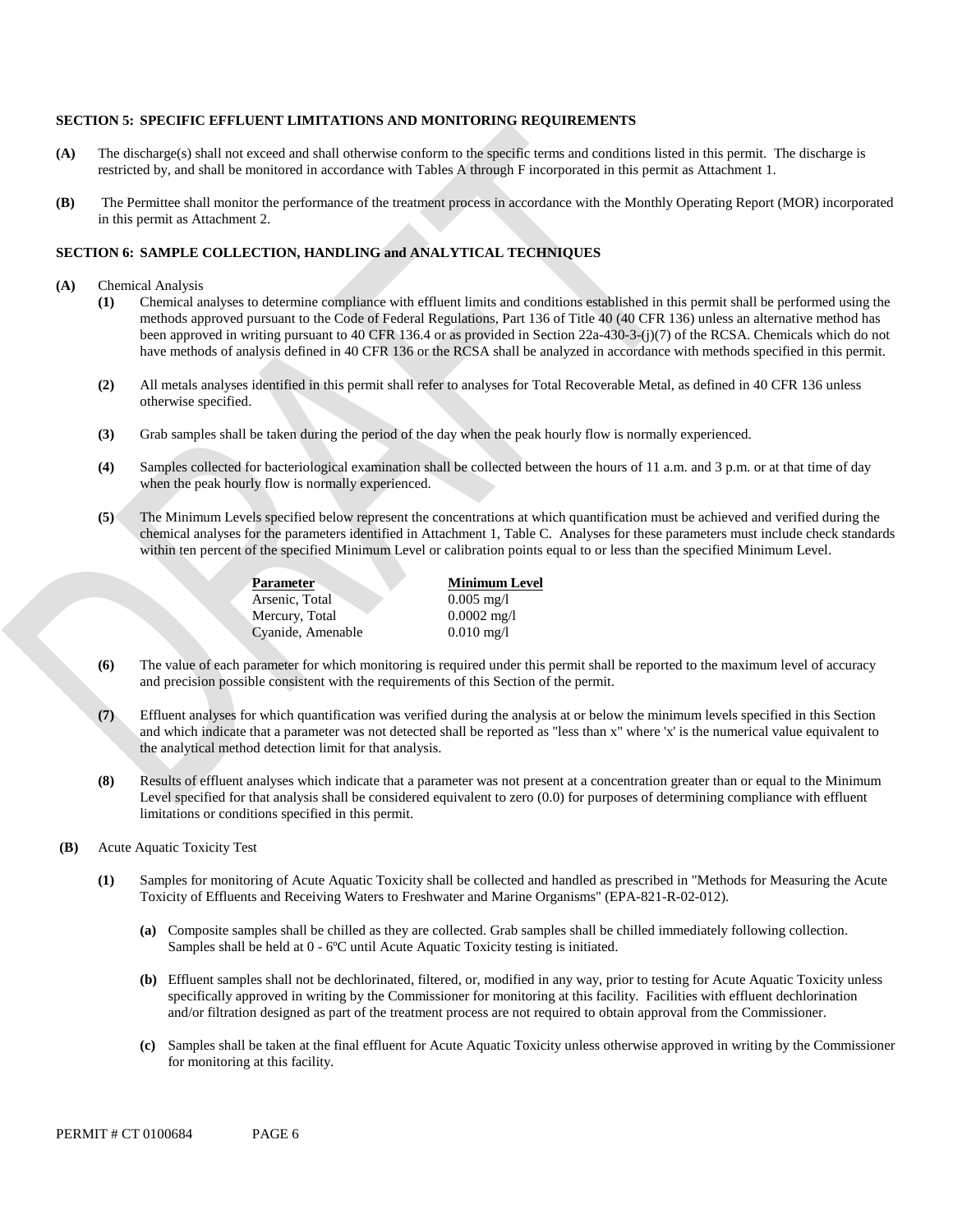### **SECTION 5: SPECIFIC EFFLUENT LIMITATIONS AND MONITORING REQUIREMENTS**

- **(A)** The discharge(s) shall not exceed and shall otherwise conform to the specific terms and conditions listed in this permit. The discharge is restricted by, and shall be monitored in accordance with Tables A through F incorporated in this permit as Attachment 1.
- **(B)** The Permittee shall monitor the performance of the treatment process in accordance with the Monthly Operating Report (MOR) incorporated in this permit as Attachment 2.

### **SECTION 6: SAMPLE COLLECTION, HANDLING and ANALYTICAL TECHNIQUES**

- **(A)** Chemical Analysis
	- **(1)** Chemical analyses to determine compliance with effluent limits and conditions established in this permit shall be performed using the methods approved pursuant to the Code of Federal Regulations, Part 136 of Title 40 (40 CFR 136) unless an alternative method has been approved in writing pursuant to 40 CFR 136.4 or as provided in Section 22a-430-3-(j)(7) of the RCSA. Chemicals which do not have methods of analysis defined in 40 CFR 136 or the RCSA shall be analyzed in accordance with methods specified in this permit.
	- **(2)** All metals analyses identified in this permit shall refer to analyses for Total Recoverable Metal, as defined in 40 CFR 136 unless otherwise specified.
	- **(3)** Grab samples shall be taken during the period of the day when the peak hourly flow is normally experienced.
	- **(4)** Samples collected for bacteriological examination shall be collected between the hours of 11 a.m. and 3 p.m. or at that time of day when the peak hourly flow is normally experienced.
	- **(5)** The Minimum Levels specified below represent the concentrations at which quantification must be achieved and verified during the chemical analyses for the parameters identified in Attachment 1, Table C. Analyses for these parameters must include check standards within ten percent of the specified Minimum Level or calibration points equal to or less than the specified Minimum Level.

Parameter **Minimum Level** Arsenic, Total 0.005 mg/l Mercury, Total 0.0002 mg/l Cyanide, Amenable 0.010 mg/l

- **(6)** The value of each parameter for which monitoring is required under this permit shall be reported to the maximum level of accuracy and precision possible consistent with the requirements of this Section of the permit.
- **(7)** Effluent analyses for which quantification was verified during the analysis at or below the minimum levels specified in this Section and which indicate that a parameter was not detected shall be reported as "less than x" where 'x ' is the numerical value equivalent to the analytical method detection limit for that analysis.
- **(8)** Results of effluent analyses which indicate that a parameter was not present at a concentration greater than or equal to the Minimum Level specified for that analysis shall be considered equivalent to zero (0.0) for purposes of determining compliance with effluent limitations or conditions specified in this permit.
- **(B)** Acute Aquatic Toxicity Test
	- **(1)** Samples for monitoring of Acute Aquatic Toxicity shall be collected and handled as prescribed in "Methods for Measuring the Acute Toxicity of Effluents and Receiving Waters to Freshwater and Marine Organisms" (EPA-821-R-02-012).
		- Samples shall be held at 0 6ºC until Acute Aquatic Toxicity testing is initiated. **(a)** Composite samples shall be chilled as they are collected. Grab samples shall be chilled immediately following collection.
		- **(b)** Effluent samples shall not be dechlorinated, filtered, or, modified in any way, prior to testing for Acute Aquatic Toxicity unless specifically approved in writing by the Commissioner for monitoring at this facility. Facilities with effluent dechlorination and/or filtration designed as part of the treatment process are not required to obtain approval from the Commissioner.
		- **(c)** Samples shall be taken at the final effluent for Acute Aquatic Toxicity unless otherwise approved in writing by the Commissioner for monitoring at this facility.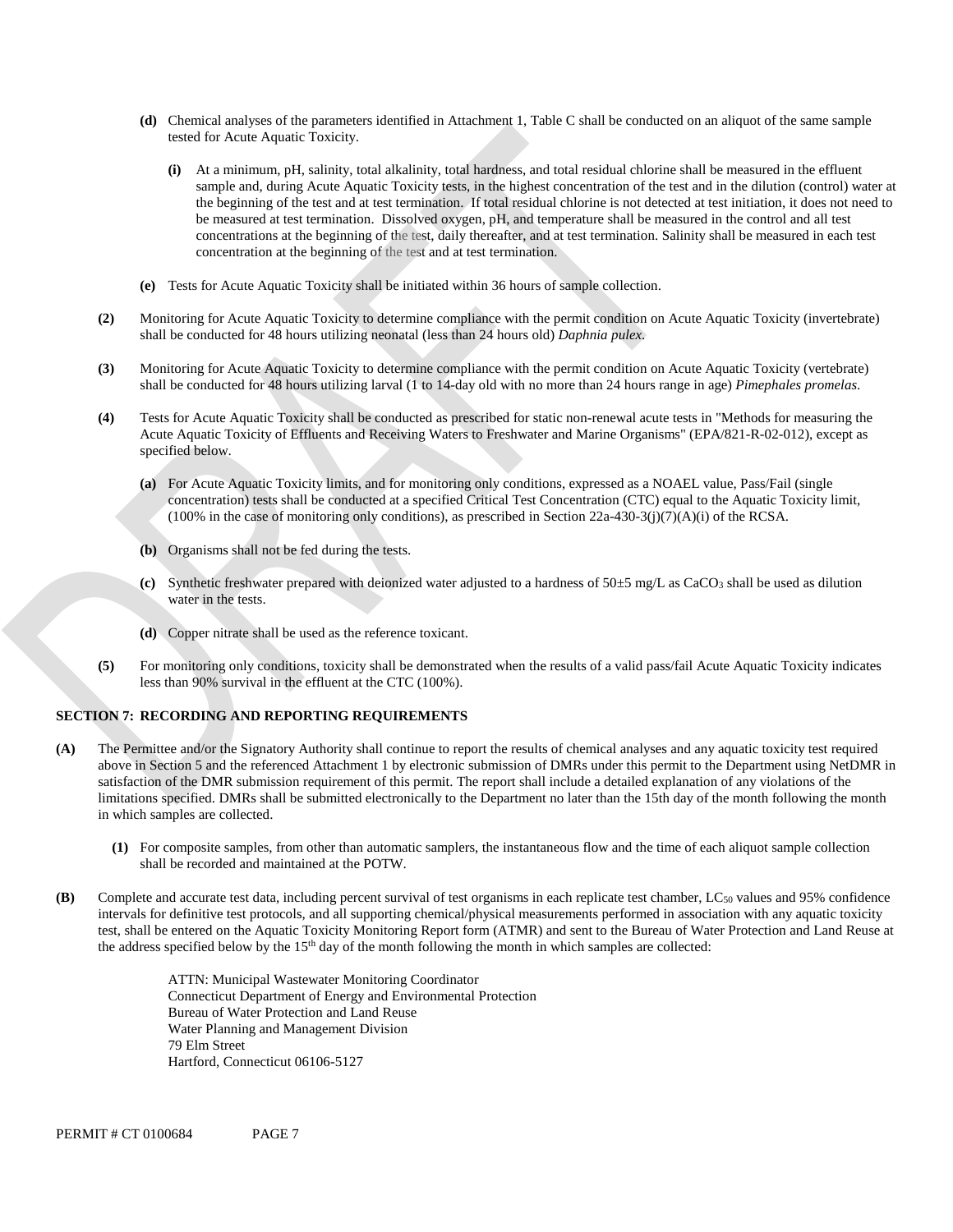- **(d)** Chemical analyses of the parameters identified in Attachment 1, Table C shall be conducted on an aliquot of the same sample tested for Acute Aquatic Toxicity.
	- **(i)** At a minimum, pH, salinity, total alkalinity, total hardness, and total residual chlorine shall be measured in the effluent sample and, during Acute Aquatic Toxicity tests, in the highest concentration of the test and in the dilution (control) water at the beginning of the test and at test termination. If total residual chlorine is not detected at test initiation, it does not need to be measured at test termination. Dissolved oxygen, pH, and temperature shall be measured in the control and all test concentrations at the beginning of the test, daily thereafter, and at test termination. Salinity shall be measured in each test concentration at the beginning of the test and at test termination.
- **(e)** Tests for Acute Aquatic Toxicity shall be initiated within 36 hours of sample collection.
- **(2)** Monitoring for Acute Aquatic Toxicity to determine compliance with the permit condition on Acute Aquatic Toxicity (invertebrate) shall be conducted for 48 hours utilizing neonatal (less than 24 hours old) *Daphnia pulex*.
- **(3)** Monitoring for Acute Aquatic Toxicity to determine compliance with the permit condition on Acute Aquatic Toxicity (vertebrate) shall be conducted for 48 hours utilizing larval (1 to 14-day old with no more than 24 hours range in age) *Pimephales promelas*.
- **(4)** Tests for Acute Aquatic Toxicity shall be conducted as prescribed for static non-renewal acute tests in "Methods for measuring the Acute Aquatic Toxicity of Effluents and Receiving Waters to Freshwater and Marine Organisms" (EPA/821-R-02-012), except as specified below.
	- **(a)** For Acute Aquatic Toxicity limits, and for monitoring only conditions, expressed as a NOAEL value, Pass/Fail (single concentration) tests shall be conducted at a specified Critical Test Concentration (CTC) equal to the Aquatic Toxicity limit,  $(100\%$  in the case of monitoring only conditions), as prescribed in Section 22a-430-3(j)(7)(A)(i) of the RCSA.
	- **(b)** Organisms shall not be fed during the tests.
	- **(c)** Synthetic freshwater prepared with deionized water adjusted to a hardness of 50±5 mg/L as CaCO3 shall be used as dilution water in the tests.
	- **(d)** Copper nitrate shall be used as the reference toxicant.
- **(5)** For monitoring only conditions, toxicity shall be demonstrated when the results of a valid pass/fail Acute Aquatic Toxicity indicates less than 90% survival in the effluent at the CTC (100%).

#### **SECTION 7: RECORDING AND REPORTING REQUIREMENTS**

- **(A)** The Permittee and/or the Signatory Authority shall continue to report the results of chemical analyses and any aquatic toxicity test required above in Section 5 and the referenced Attachment 1 by electronic submission of DMRs under this permit to the Department using NetDMR in satisfaction of the DMR submission requirement of this permit. The report shall include a detailed explanation of any violations of the limitations specified. DMRs shall be submitted electronically to the Department no later than the 15th day of the month following the month in which samples are collected.
	- **(1)** For composite samples, from other than automatic samplers, the instantaneous flow and the time of each aliquot sample collection shall be recorded and maintained at the POTW.
- **(B)** Complete and accurate test data, including percent survival of test organisms in each replicate test chamber, LC<sub>50</sub> values and 95% confidence intervals for definitive test protocols, and all supporting chemical/physical measurements performed in association with any aquatic toxicity test, shall be entered on the Aquatic Toxicity Monitoring Report form (ATMR) and sent to the Bureau of Water Protection and Land Reuse at the address specified below by the 15<sup>th</sup> day of the month following the month in which samples are collected:

ATTN: Municipal Wastewater Monitoring Coordinator Connecticut Department of Energy and Environmental Protection Bureau of Water Protection and Land Reuse Water Planning and Management Division 79 Elm Street Hartford, Connecticut 06106-5127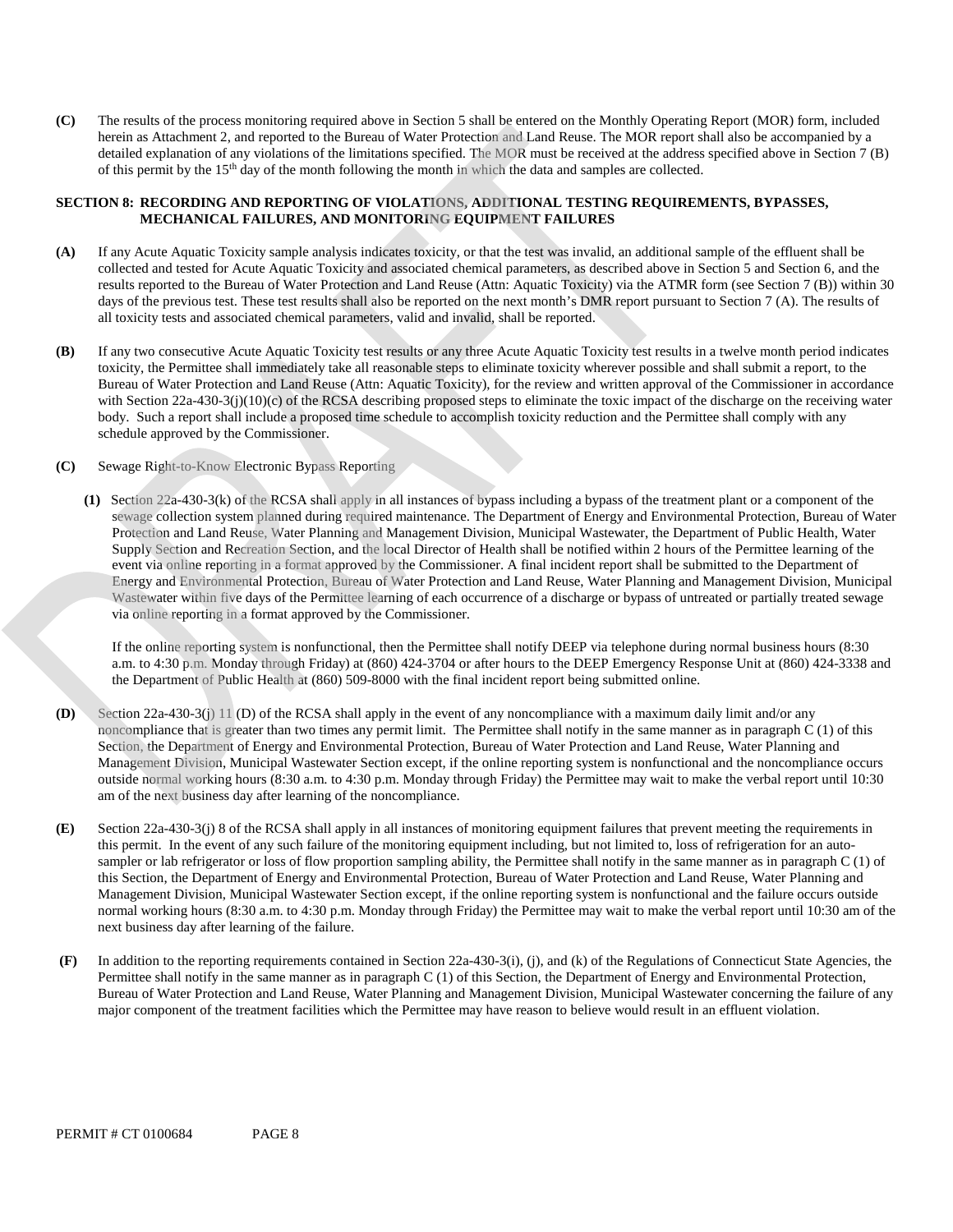**(C)** The results of the process monitoring required above in Section 5 shall be entered on the Monthly Operating Report (MOR) form, included herein as Attachment 2, and reported to the Bureau of Water Protection and Land Reuse. The MOR report shall also be accompanied by a detailed explanation of any violations of the limitations specified. The MOR must be received at the address specified above in Section 7 (B) of this permit by the 15th day of the month following the month in which the data and samples are collected.

### **SECTION 8: RECORDING AND REPORTING OF VIOLATIONS, ADDITIONAL TESTING REQUIREMENTS, BYPASSES, MECHANICAL FAILURES, AND MONITORING EQUIPMENT FAILURES**

- **(A)** If any Acute Aquatic Toxicity sample analysis indicates toxicity, or that the test was invalid, an additional sample of the effluent shall be collected and tested for Acute Aquatic Toxicity and associated chemical parameters, as described above in Section 5 and Section 6, and the results reported to the Bureau of Water Protection and Land Reuse (Attn: Aquatic Toxicity) via the ATMR form (see Section 7 (B)) within 30 days of the previous test. These test results shall also be reported on the next month's DMR report pursuant to Section 7 (A). The results of all toxicity tests and associated chemical parameters, valid and invalid, shall be reported.
- **(B)** If any two consecutive Acute Aquatic Toxicity test results or any three Acute Aquatic Toxicity test results in a twelve month period indicates toxicity, the Permittee shall immediately take all reasonable steps to eliminate toxicity wherever possible and shall submit a report, to the Bureau of Water Protection and Land Reuse (Attn: Aquatic Toxicity), for the review and written approval of the Commissioner in accordance with Section 22a-430-3(j)(10)(c) of the RCSA describing proposed steps to eliminate the toxic impact of the discharge on the receiving water body. Such a report shall include a proposed time schedule to accomplish toxicity reduction and the Permittee shall comply with any schedule approved by the Commissioner.
- **(C)** Sewage Right-to-Know Electronic Bypass Reporting
	- **(1)** Section 22a-430-3(k) of the RCSA shall apply in all instances of bypass including a bypass of the treatment plant or a component of the sewage collection system planned during required maintenance. The Department of Energy and Environmental Protection, Bureau of Water Protection and Land Reuse, Water Planning and Management Division, Municipal Wastewater, the Department of Public Health, Water Supply Section and Recreation Section, and the local Director of Health shall be notified within 2 hours of the Permittee learning of the event via online reporting in a format approved by the Commissioner. A final incident report shall be submitted to the Department of Energy and Environmental Protection, Bureau of Water Protection and Land Reuse, Water Planning and Management Division, Municipal Wastewater within five days of the Permittee learning of each occurrence of a discharge or bypass of untreated or partially treated sewage via online reporting in a format approved by the Commissioner.

If the online reporting system is nonfunctional, then the Permittee shall notify DEEP via telephone during normal business hours (8:30 a.m. to 4:30 p.m. Monday through Friday) at (860) 424-3704 or after hours to the DEEP Emergency Response Unit at (860) 424-3338 and the Department of Public Health at (860) 509-8000 with the final incident report being submitted online.

- **(D)** Section 22a-430-3(j) 11 (D) of the RCSA shall apply in the event of any noncompliance with a maximum daily limit and/or any noncompliance that is greater than two times any permit limit. The Permittee shall notify in the same manner as in paragraph C (1) of this Section, the Department of Energy and Environmental Protection, Bureau of Water Protection and Land Reuse, Water Planning and Management Division, Municipal Wastewater Section except, if the online reporting system is nonfunctional and the noncompliance occurs outside normal working hours (8:30 a.m. to 4:30 p.m. Monday through Friday) the Permittee may wait to make the verbal report until 10:30 am of the next business day after learning of the noncompliance.
- next business day after learning of the failure. **(E)** Section 22a-430-3(j) 8 of the RCSA shall apply in all instances of monitoring equipment failures that prevent meeting the requirements in this permit. In the event of any such failure of the monitoring equipment including, but not limited to, loss of refrigeration for an autosampler or lab refrigerator or loss of flow proportion sampling ability, the Permittee shall notify in the same manner as in paragraph C (1) of this Section, the Department of Energy and Environmental Protection, Bureau of Water Protection and Land Reuse, Water Planning and Management Division, Municipal Wastewater Section except, if the online reporting system is nonfunctional and the failure occurs outside normal working hours (8:30 a.m. to 4:30 p.m. Monday through Friday) the Permittee may wait to make the verbal report until 10:30 am of the
- major component of the treatment facilities which the Permittee may have reason to believe would result in an effluent violation. **(F)** In addition to the reporting requirements contained in Section 22a-430-3(i), (j), and (k) of the Regulations of Connecticut State Agencies, the Permittee shall notify in the same manner as in paragraph C (1) of this Section, the Department of Energy and Environmental Protection, Bureau of Water Protection and Land Reuse, Water Planning and Management Division, Municipal Wastewater concerning the failure of any major component of the treatment facilities which the Permittee may have reason to believe would result in an effluent violation.<br>PERMIT # CT 0100684 PAGE 8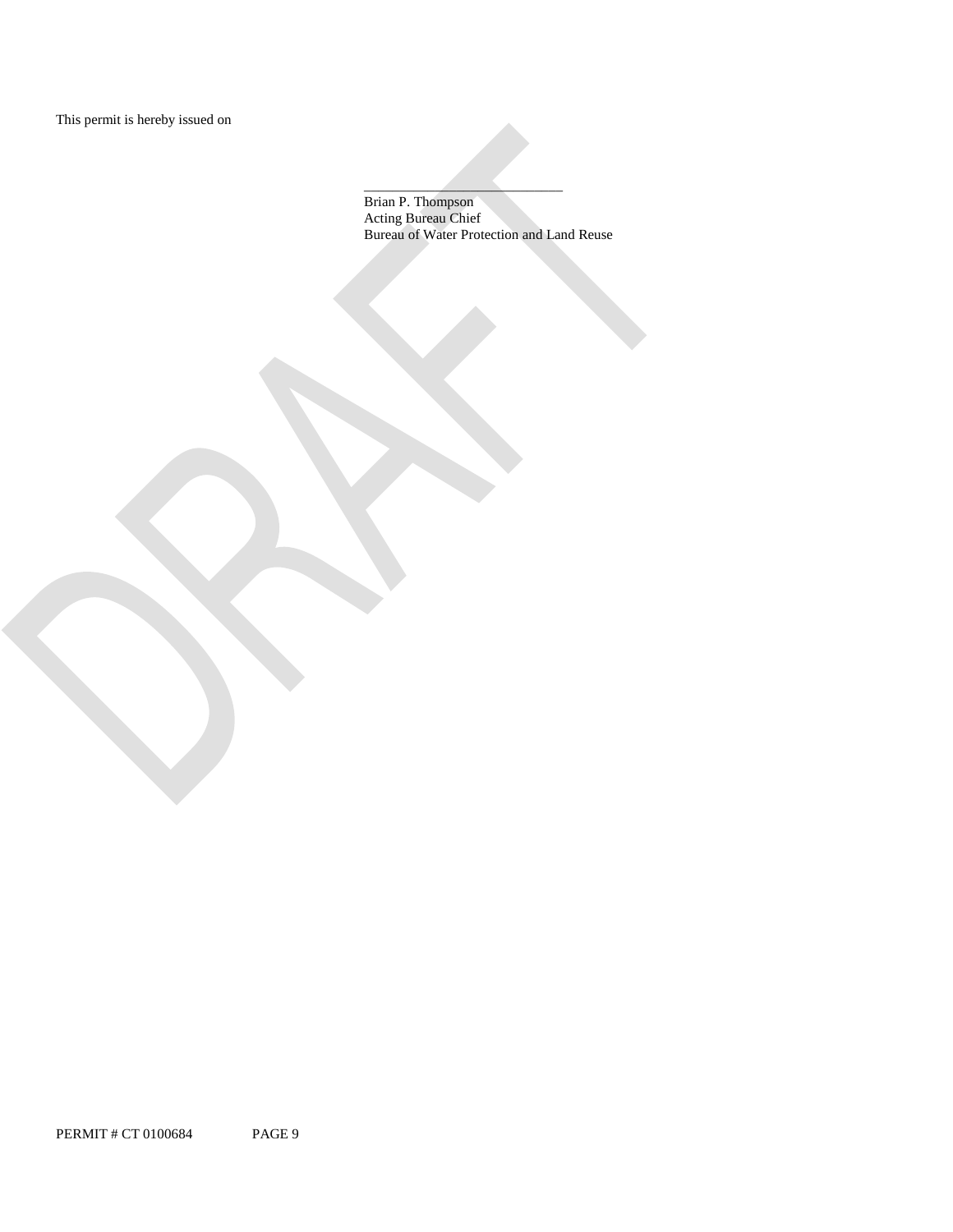\_\_\_\_\_\_\_\_\_\_\_\_\_\_\_\_\_\_\_\_\_\_\_\_\_\_\_\_ Brian P. Thompson Acting Bureau Chief Bureau of Water Protection and Land Reuse

PERMIT # CT 0100684 PAGE 9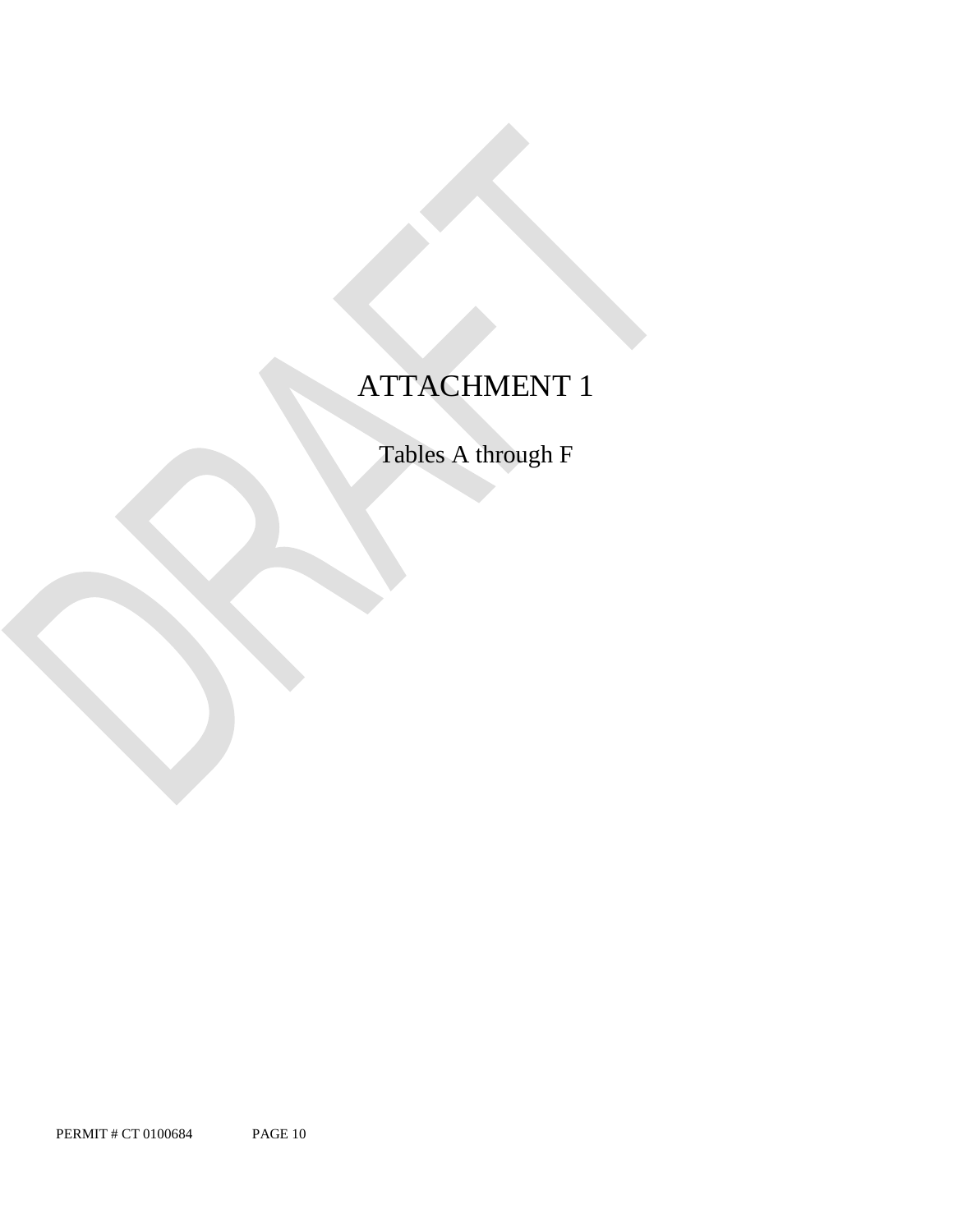## ATTACHMENT 1

Tables A through F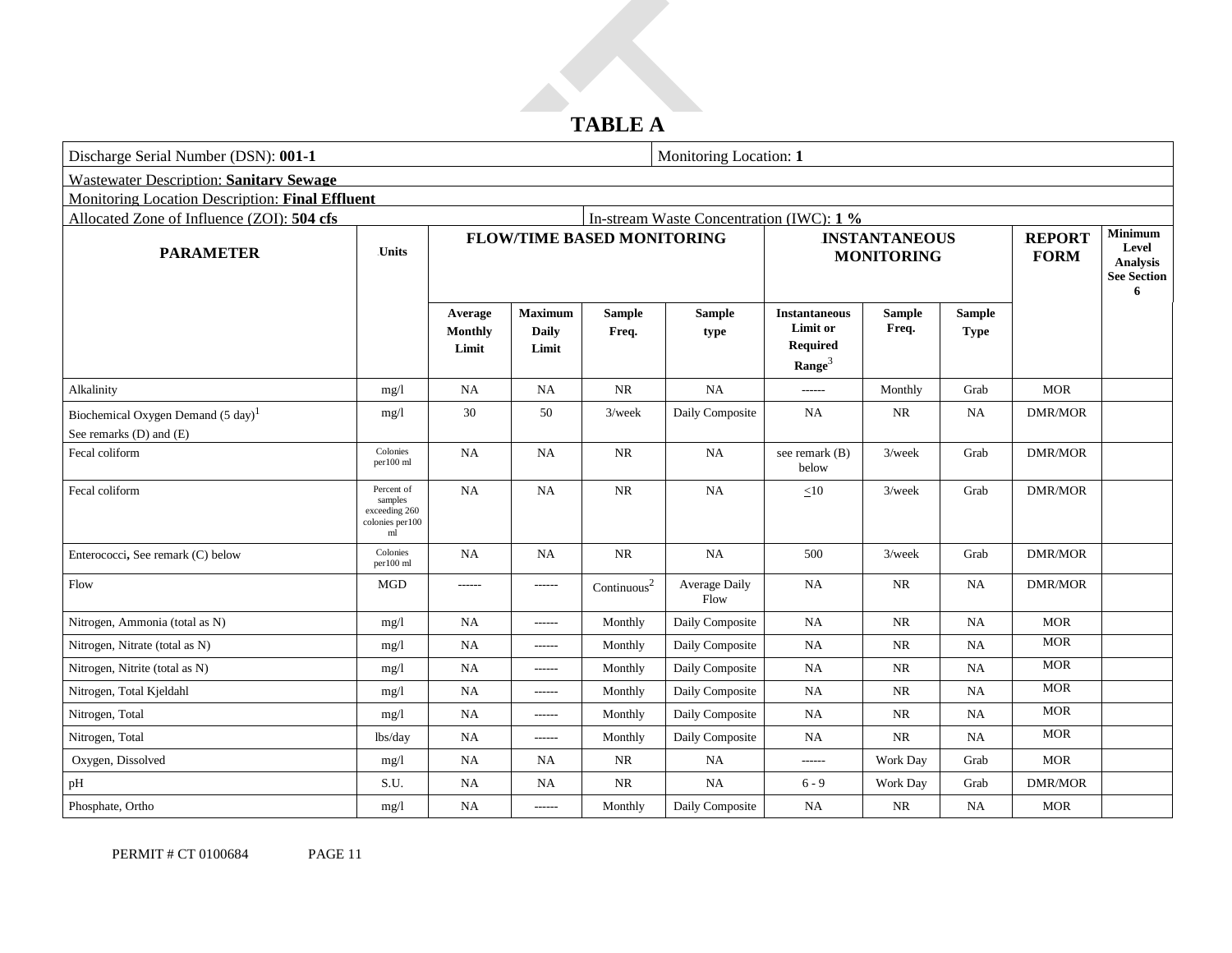## **TABLE A**

| Discharge Serial Number (DSN): 001-1                                     |                                                                            |                                    |                                         |                         | Monitoring Location: 1                    |                                                                           |                        |                              |                              |                                                                |
|--------------------------------------------------------------------------|----------------------------------------------------------------------------|------------------------------------|-----------------------------------------|-------------------------|-------------------------------------------|---------------------------------------------------------------------------|------------------------|------------------------------|------------------------------|----------------------------------------------------------------|
| <b>Wastewater Description: Sanitary Sewage</b>                           |                                                                            |                                    |                                         |                         |                                           |                                                                           |                        |                              |                              |                                                                |
|                                                                          | Monitoring Location Description: Final Effluent                            |                                    |                                         |                         |                                           |                                                                           |                        |                              |                              |                                                                |
| Allocated Zone of Influence (ZOI): 504 cfs                               |                                                                            |                                    |                                         |                         | In-stream Waste Concentration (IWC): 1 %  |                                                                           |                        |                              |                              |                                                                |
| <b>PARAMETER</b>                                                         | <b>Units</b>                                                               | <b>FLOW/TIME BASED MONITORING</b>  |                                         |                         | <b>INSTANTANEOUS</b><br><b>MONITORING</b> |                                                                           |                        |                              | <b>REPORT</b><br><b>FORM</b> | <b>Minimum</b><br>Level<br>Analysis<br><b>See Section</b><br>6 |
|                                                                          |                                                                            | Average<br><b>Monthly</b><br>Limit | <b>Maximum</b><br><b>Daily</b><br>Limit | <b>Sample</b><br>Freq.  | <b>Sample</b><br>type                     | <b>Instantaneous</b><br>Limit or<br><b>Required</b><br>Range <sup>3</sup> | <b>Sample</b><br>Freq. | <b>Sample</b><br><b>Type</b> |                              |                                                                |
| Alkalinity                                                               | mg/l                                                                       | <b>NA</b>                          | <b>NA</b>                               | NR                      | NA                                        | ------                                                                    | Monthly                | Grab                         | <b>MOR</b>                   |                                                                |
| Biochemical Oxygen Demand $(5 \text{ day})^1$<br>See remarks (D) and (E) | mg/1                                                                       | 30                                 | 50                                      | $3$ /week               | Daily Composite                           | <b>NA</b>                                                                 | NR                     | $_{\rm NA}$                  | <b>DMR/MOR</b>               |                                                                |
| Fecal coliform                                                           | Colonies<br>per100 ml                                                      | <b>NA</b>                          | <b>NA</b>                               | <b>NR</b>               | NA                                        | see remark (B)<br>below                                                   | $3$ /week              | Grab                         | <b>DMR/MOR</b>               |                                                                |
| Fecal coliform                                                           | Percent of<br>samples<br>exceeding 260<br>colonies per100<br>$\mathbf{ml}$ | NA                                 | <b>NA</b>                               | <b>NR</b>               | NA                                        | <10                                                                       | $3$ /week              | Grab                         | <b>DMR/MOR</b>               |                                                                |
| Enterococci, See remark (C) below                                        | Colonies<br>per100 ml                                                      | NA                                 | <b>NA</b>                               | <b>NR</b>               | NA                                        | 500                                                                       | $3$ /week              | Grab                         | <b>DMR/MOR</b>               |                                                                |
| Flow                                                                     | MGD                                                                        | ------                             | $-----1$                                | Continuous <sup>2</sup> | Average Daily<br>Flow                     | <b>NA</b>                                                                 | <b>NR</b>              | NA                           | <b>DMR/MOR</b>               |                                                                |
| Nitrogen, Ammonia (total as N)                                           | mg/l                                                                       | <b>NA</b>                          | $-----$                                 | Monthly                 | Daily Composite                           | <b>NA</b>                                                                 | <b>NR</b>              | NA                           | <b>MOR</b>                   |                                                                |
| Nitrogen, Nitrate (total as N)                                           | mg/l                                                                       | NA                                 | $-----$                                 | Monthly                 | Daily Composite                           | NA                                                                        | <b>NR</b>              | NA                           | <b>MOR</b>                   |                                                                |
| Nitrogen, Nitrite (total as N)                                           | mg/1                                                                       | <b>NA</b>                          | $- - - - - -$                           | Monthly                 | Daily Composite                           | NA                                                                        | <b>NR</b>              | NA                           | <b>MOR</b>                   |                                                                |
| Nitrogen, Total Kjeldahl                                                 | mg/1                                                                       | NA                                 | $-----1$                                | Monthly                 | Daily Composite                           | NA                                                                        | $\rm NR$               | NA                           | <b>MOR</b>                   |                                                                |
| Nitrogen, Total                                                          | mg/1                                                                       | NA                                 | $------$                                | Monthly                 | Daily Composite                           | NA                                                                        | <b>NR</b>              | <b>NA</b>                    | <b>MOR</b>                   |                                                                |
| Nitrogen, Total                                                          | lbs/day                                                                    | $\rm NA$                           | ------                                  | Monthly                 | Daily Composite                           | NA                                                                        | NR                     | $_{\rm NA}$                  | <b>MOR</b>                   |                                                                |
| Oxygen, Dissolved                                                        | mg/1                                                                       | NA                                 | <b>NA</b>                               | NR                      | NA                                        | ------                                                                    | Work Day               | Grab                         | <b>MOR</b>                   |                                                                |
| pH                                                                       | S.U.                                                                       | NA                                 | <b>NA</b>                               | <b>NR</b>               | NA                                        | $6 - 9$                                                                   | Work Day               | Grab                         | <b>DMR/MOR</b>               |                                                                |
| Phosphate, Ortho                                                         | mg/1                                                                       | NA                                 | $-----1$                                | Monthly                 | Daily Composite                           | NA                                                                        | <b>NR</b>              | NA                           | <b>MOR</b>                   |                                                                |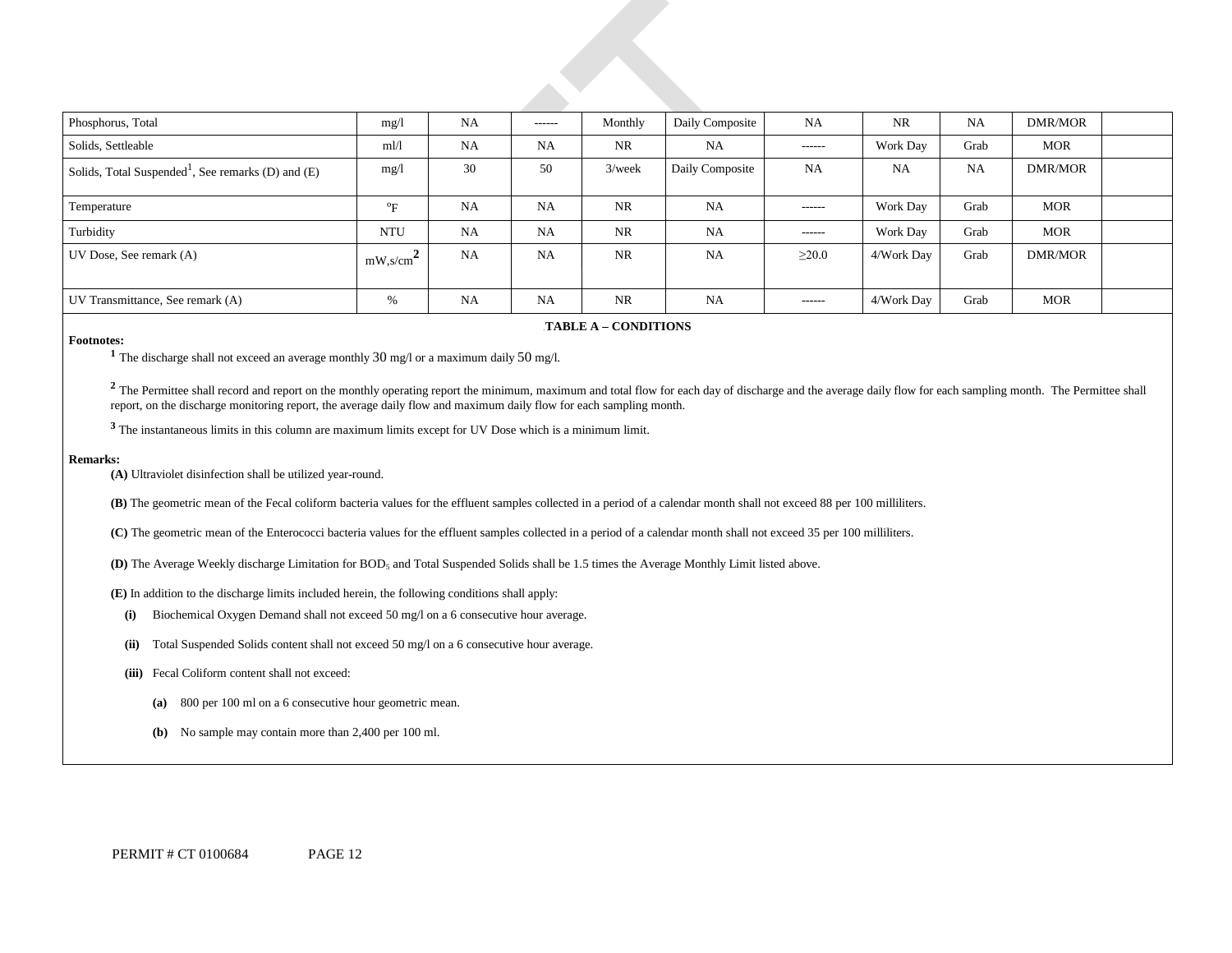| Phosphorus, Total                                              | mg/l                                     | <b>NA</b> | $- - - - - -$ | Monthly   | Daily Composite | <b>NA</b>     | <b>NR</b>  | <b>NA</b> | DMR/MOR    |  |
|----------------------------------------------------------------|------------------------------------------|-----------|---------------|-----------|-----------------|---------------|------------|-----------|------------|--|
| Solids, Settleable                                             | m1/1                                     | NA        | <b>NA</b>     | NR        | <b>NA</b>       | -------       | Work Day   | Grab      | <b>MOR</b> |  |
| Solids, Total Suspended <sup>1</sup> , See remarks (D) and (E) | mg/l                                     | 30        | 50            | $3$ /week | Daily Composite | <b>NA</b>     | <b>NA</b>  | <b>NA</b> | DMR/MOR    |  |
| Temperature                                                    | $\mathrm{P}_{\mathrm{F}}$                | <b>NA</b> | <b>NA</b>     | <b>NR</b> | <b>NA</b>       | $- - - - - -$ | Work Day   | Grab      | <b>MOR</b> |  |
| Turbidity                                                      | NTU                                      | <b>NA</b> | NA            | <b>NR</b> | <b>NA</b>       | -------       | Work Day   | Grab      | <b>MOR</b> |  |
| UV Dose, See remark (A)                                        | $mW$ , s/cm <sup><math>\sim</math></sup> | <b>NA</b> | NA            | <b>NR</b> | NA              | $\geq 20.0$   | 4/Work Day | Grab      | DMR/MOR    |  |
| UV Transmittance, See remark (A)                               | $\%$                                     | <b>NA</b> | <b>NA</b>     | <b>NR</b> | NA              | -------       | 4/Work Day | Grab      | <b>MOR</b> |  |

#### **FABLE A – CONDITIONS**

**Footnotes: 1** The discharge shall not exceed an average monthly 30 mg/l or a maximum daily 50 mg/l.

<sup>2</sup> The Permittee shall record and report on the monthly operating report the minimum, maximum and total flow for each day of discharge and the average daily flow for each sampling month. The Permittee shall report, on the discharge monitoring report, the average daily flow and maximum daily flow for each sampling month.

**<sup>3</sup>**The instantaneous limits in this column are maximum limits except for UV Dose which is a minimum limit.

#### **Remarks:**

**(A)** Ultraviolet disinfection shall be utilized year-round.

**(B)** The geometric mean of the Fecal coliform bacteria values for the effluent samples collected in a period of a calendar month shall not exceed 88 per 100 milliliters.

**(C)** The geometric mean of the Enterococci bacteria values for the effluent samples collected in a period of a calendar month shall not exceed 35 per 100 milliliters.

**(D)** The Average Weekly discharge Limitation for BOD<sub>5</sub> and Total Suspended Solids shall be 1.5 times the Average Monthly Limit listed above.

**(E)** In addition to the discharge limits included herein, the following conditions shall apply:

- **(i)** Biochemical Oxygen Demand shall not exceed 50 mg/l on a 6 consecutive hour average.
- **(ii)** Total Suspended Solids content shall not exceed 50 mg/l on a 6 consecutive hour average.
- **(iii)** Fecal Coliform content shall not exceed:
	- **(a)** 800 per 100 ml on a 6 consecutive hour geometric mean.
	- **(b)** No sample may contain more than 2,400 per 100 ml.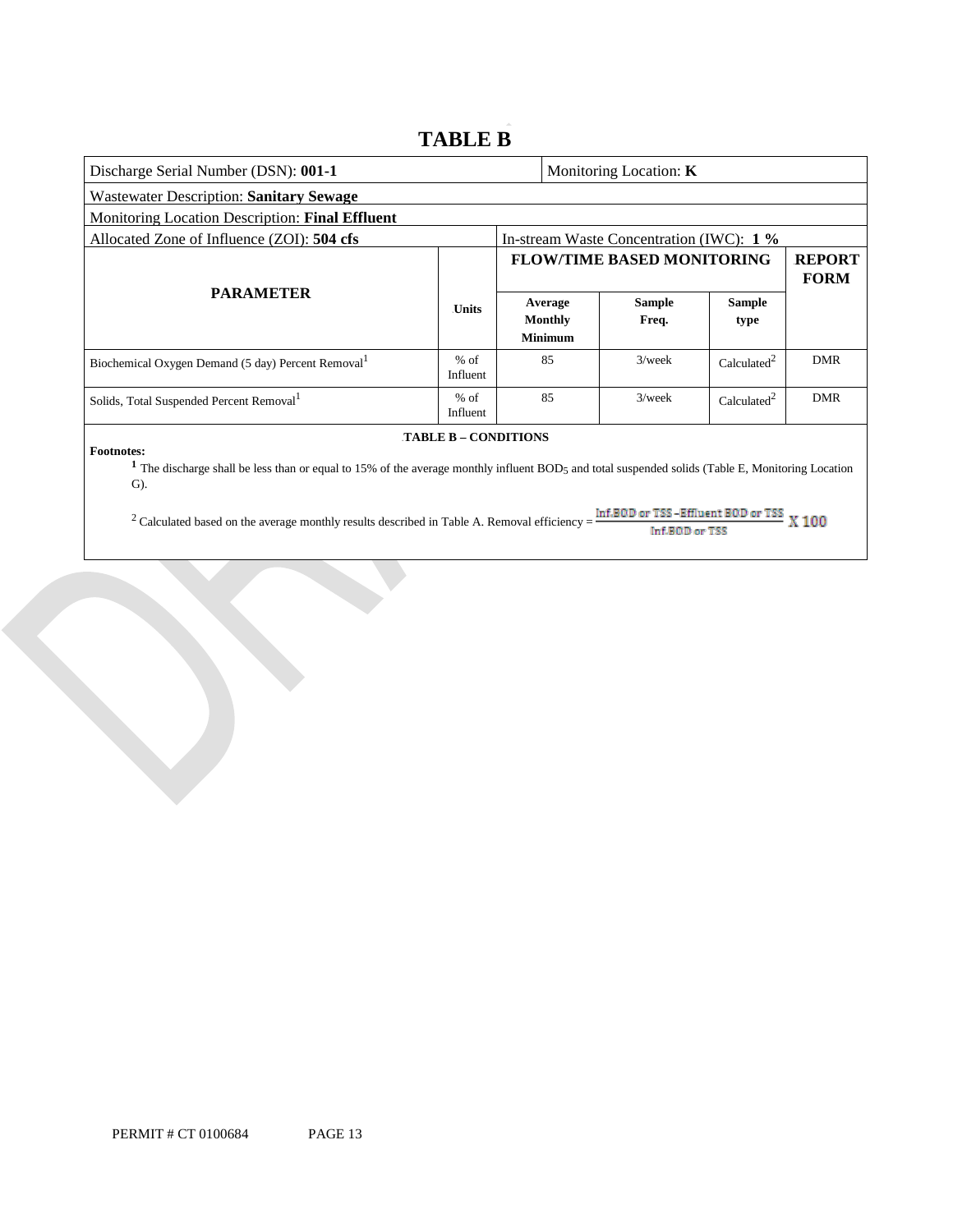### **TABLE B**

| Discharge Serial Number (DSN): 001-1                                                                                                                                                                                   |                    |  |                                          | Monitoring Location: K            |                              |            |  |
|------------------------------------------------------------------------------------------------------------------------------------------------------------------------------------------------------------------------|--------------------|--|------------------------------------------|-----------------------------------|------------------------------|------------|--|
| <b>Wastewater Description: Sanitary Sewage</b>                                                                                                                                                                         |                    |  |                                          |                                   |                              |            |  |
| Monitoring Location Description: Final Effluent                                                                                                                                                                        |                    |  |                                          |                                   |                              |            |  |
| Allocated Zone of Influence (ZOI): 504 cfs                                                                                                                                                                             |                    |  | In-stream Waste Concentration (IWC): 1 % |                                   |                              |            |  |
|                                                                                                                                                                                                                        |                    |  |                                          | <b>FLOW/TIME BASED MONITORING</b> | <b>REPORT</b><br><b>FORM</b> |            |  |
| <b>PARAMETER</b>                                                                                                                                                                                                       | <b>Units</b>       |  | Average<br>Monthly<br><b>Minimum</b>     | <b>Sample</b><br>Freq.            | <b>Sample</b><br>type        |            |  |
| Biochemical Oxygen Demand (5 day) Percent Removal <sup>1</sup>                                                                                                                                                         | $%$ of<br>Influent |  | 85                                       | $3$ /week                         | Calculated <sup>2</sup>      | <b>DMR</b> |  |
| Solids, Total Suspended Percent Removal <sup>1</sup>                                                                                                                                                                   | $%$ of<br>Influent |  | 85                                       | $3$ /week                         | Calculated <sup>2</sup>      | <b>DMR</b> |  |
| <b>TABLE B - CONDITIONS</b><br><b>Footnotes:</b><br>The discharge shall be less than or equal to 15% of the average monthly influent BOD5 and total suspended solids (Table E, Monitoring Location<br>$\mathcal{G}$ ). |                    |  |                                          |                                   |                              |            |  |

<sup>2</sup> Calculated based on the average monthly results described in Table A. Removal efficiency =  $\frac{\ln f.B@D \text{ or } TSS - Effluent B@D \text{ or } TSS}{\ln f.B@D \text{ or } TSS}$  X 100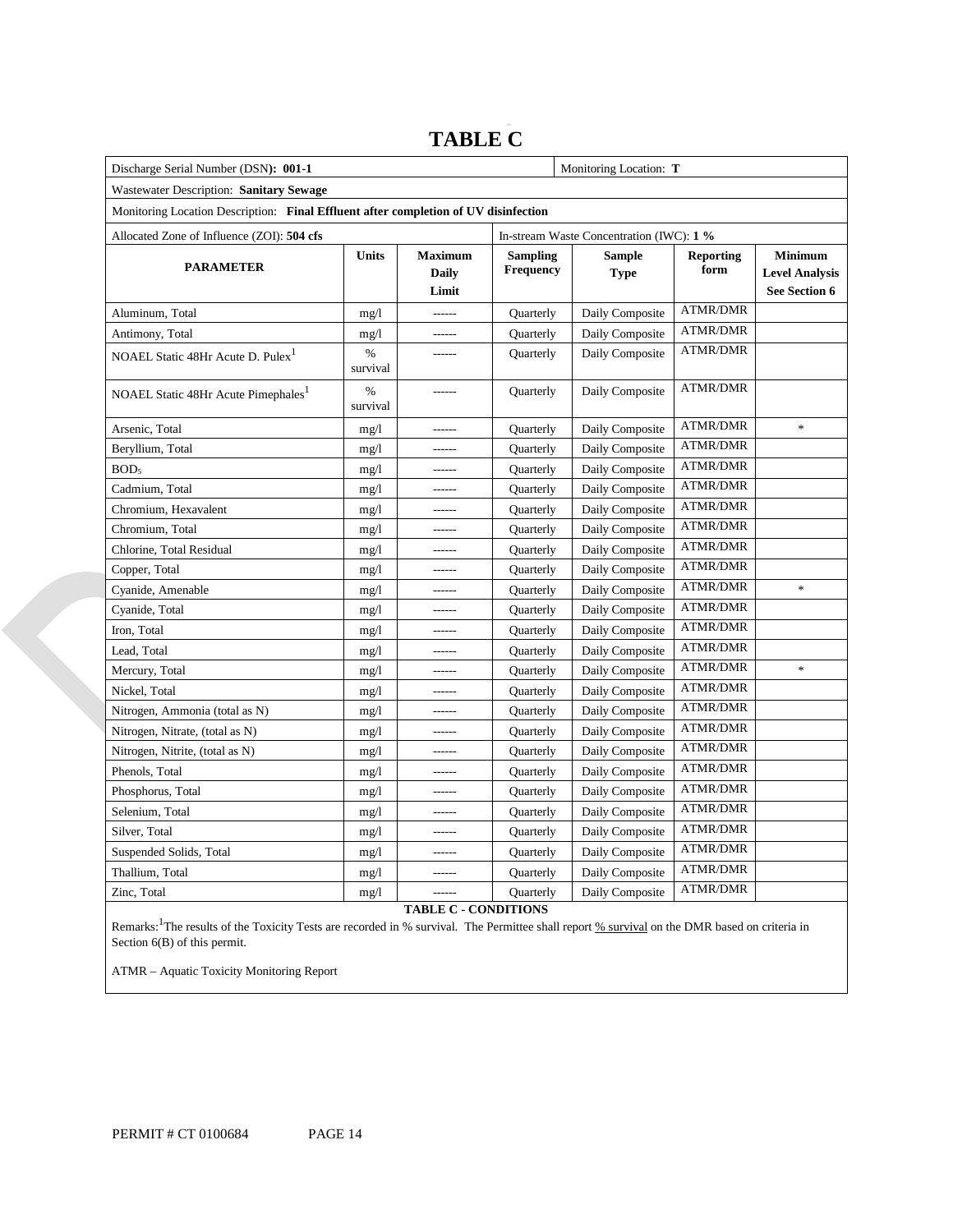### **TABLE C**

| Discharge Serial Number (DSN): 001-1                                                |                  | Monitoring Location: T                  |                                     |                                          |                          |                                                                 |
|-------------------------------------------------------------------------------------|------------------|-----------------------------------------|-------------------------------------|------------------------------------------|--------------------------|-----------------------------------------------------------------|
| Wastewater Description: Sanitary Sewage                                             |                  |                                         |                                     |                                          |                          |                                                                 |
| Monitoring Location Description: Final Effluent after completion of UV disinfection |                  |                                         |                                     |                                          |                          |                                                                 |
| Allocated Zone of Influence (ZOI): 504 cfs                                          |                  |                                         |                                     | In-stream Waste Concentration (IWC): 1 % |                          |                                                                 |
| <b>PARAMETER</b>                                                                    | Units            | <b>Maximum</b><br><b>Daily</b><br>Limit | <b>Sampling</b><br><b>Frequency</b> | <b>Sample</b><br><b>Type</b>             | <b>Reporting</b><br>form | <b>Minimum</b><br><b>Level Analysis</b><br><b>See Section 6</b> |
| Aluminum, Total                                                                     | mg/1             | ------                                  | Quarterly                           | Daily Composite                          | <b>ATMR/DMR</b>          |                                                                 |
| Antimony, Total                                                                     | mg/1             | ------                                  | Quarterly                           | Daily Composite                          | <b>ATMR/DMR</b>          |                                                                 |
| NOAEL Static 48Hr Acute D. Pulex <sup>1</sup>                                       | $\%$<br>survival |                                         | Quarterly                           | Daily Composite                          | <b>ATMR/DMR</b>          |                                                                 |
| NOAEL Static 48Hr Acute Pimephales <sup>1</sup>                                     | $\%$<br>survival | ------                                  | Quarterly                           | Daily Composite                          | <b>ATMR/DMR</b>          |                                                                 |
| Arsenic, Total                                                                      | mg/1             | ------                                  | Quarterly                           | Daily Composite                          | <b>ATMR/DMR</b>          | ×,                                                              |
| Beryllium, Total                                                                    | mg/1             |                                         | Quarterly                           | Daily Composite                          | <b>ATMR/DMR</b>          |                                                                 |
| BOD <sub>5</sub>                                                                    | mg/1             |                                         | Quarterly                           | Daily Composite                          | <b>ATMR/DMR</b>          |                                                                 |
| Cadmium, Total                                                                      | mg/1             |                                         | Quarterly                           | Daily Composite                          | ATMR/DMR                 |                                                                 |
| Chromium, Hexavalent                                                                | mg/1             |                                         | Quarterly                           | Daily Composite                          | <b>ATMR/DMR</b>          |                                                                 |
| Chromium, Total                                                                     | mg/1             |                                         | Quarterly                           | Daily Composite                          | ATMR/DMR                 |                                                                 |
| Chlorine, Total Residual                                                            | mg/1             |                                         | Quarterly                           | Daily Composite                          | <b>ATMR/DMR</b>          |                                                                 |
| Copper, Total                                                                       | mg/1             |                                         | Quarterly                           | Daily Composite                          | <b>ATMR/DMR</b>          |                                                                 |
| Cyanide, Amenable                                                                   | mg/1             |                                         | Quarterly                           | Daily Composite                          | <b>ATMR/DMR</b>          | ×,                                                              |
| Cyanide, Total                                                                      | mg/1             |                                         | Quarterly                           | Daily Composite                          | <b>ATMR/DMR</b>          |                                                                 |
| Iron, Total                                                                         | mg/1             |                                         | Quarterly                           | Daily Composite                          | <b>ATMR/DMR</b>          |                                                                 |
| Lead, Total                                                                         | mg/1             |                                         | Quarterly                           | Daily Composite                          | <b>ATMR/DMR</b>          |                                                                 |
| Mercury, Total                                                                      | mg/1             |                                         | Quarterly                           | Daily Composite                          | <b>ATMR/DMR</b>          | $\frac{d\mathbf{r}}{d\mathbf{r}}$                               |
| Nickel, Total                                                                       | mg/1             |                                         | Quarterly                           | Daily Composite                          | <b>ATMR/DMR</b>          |                                                                 |
| Nitrogen, Ammonia (total as N)                                                      | mg/1             |                                         | Quarterly                           | Daily Composite                          | <b>ATMR/DMR</b>          |                                                                 |
| Nitrogen, Nitrate, (total as N)                                                     | mg/1             |                                         | Quarterly                           | Daily Composite                          | <b>ATMR/DMR</b>          |                                                                 |
| Nitrogen, Nitrite, (total as N)                                                     | mg/1             |                                         | Quarterly                           | Daily Composite                          | <b>ATMR/DMR</b>          |                                                                 |
| Phenols, Total                                                                      | mg/1             |                                         | Quarterly                           | Daily Composite                          | <b>ATMR/DMR</b>          |                                                                 |
| Phosphorus, Total                                                                   | mg/1             |                                         | Quarterly                           | Daily Composite                          | <b>ATMR/DMR</b>          |                                                                 |
| Selenium, Total                                                                     | mg/1             |                                         | Quarterly                           | Daily Composite                          | <b>ATMR/DMR</b>          |                                                                 |
| Silver, Total                                                                       | mg/1             |                                         | Quarterly                           | Daily Composite                          | <b>ATMR/DMR</b>          |                                                                 |
| Suspended Solids, Total                                                             | mg/1             |                                         | Quarterly                           | Daily Composite                          | <b>ATMR/DMR</b>          |                                                                 |
| Thallium, Total                                                                     | mg/1             |                                         | Quarterly                           | Daily Composite                          | <b>ATMR/DMR</b>          |                                                                 |
| Zinc, Total                                                                         | mg/1             | TA DI E C                               | Quarterly<br>CONDITIONS             | Daily Composite                          | <b>ATMR/DMR</b>          |                                                                 |

**TABLE C - CONDITIONS** 

Remarks: <sup>1</sup>The results of the Toxicity Tests are recorded in % survival. The Permittee shall report % survival on the DMR based on criteria in Section 6(B) of this permit.

ATMR – Aquatic Toxicity Monitoring Report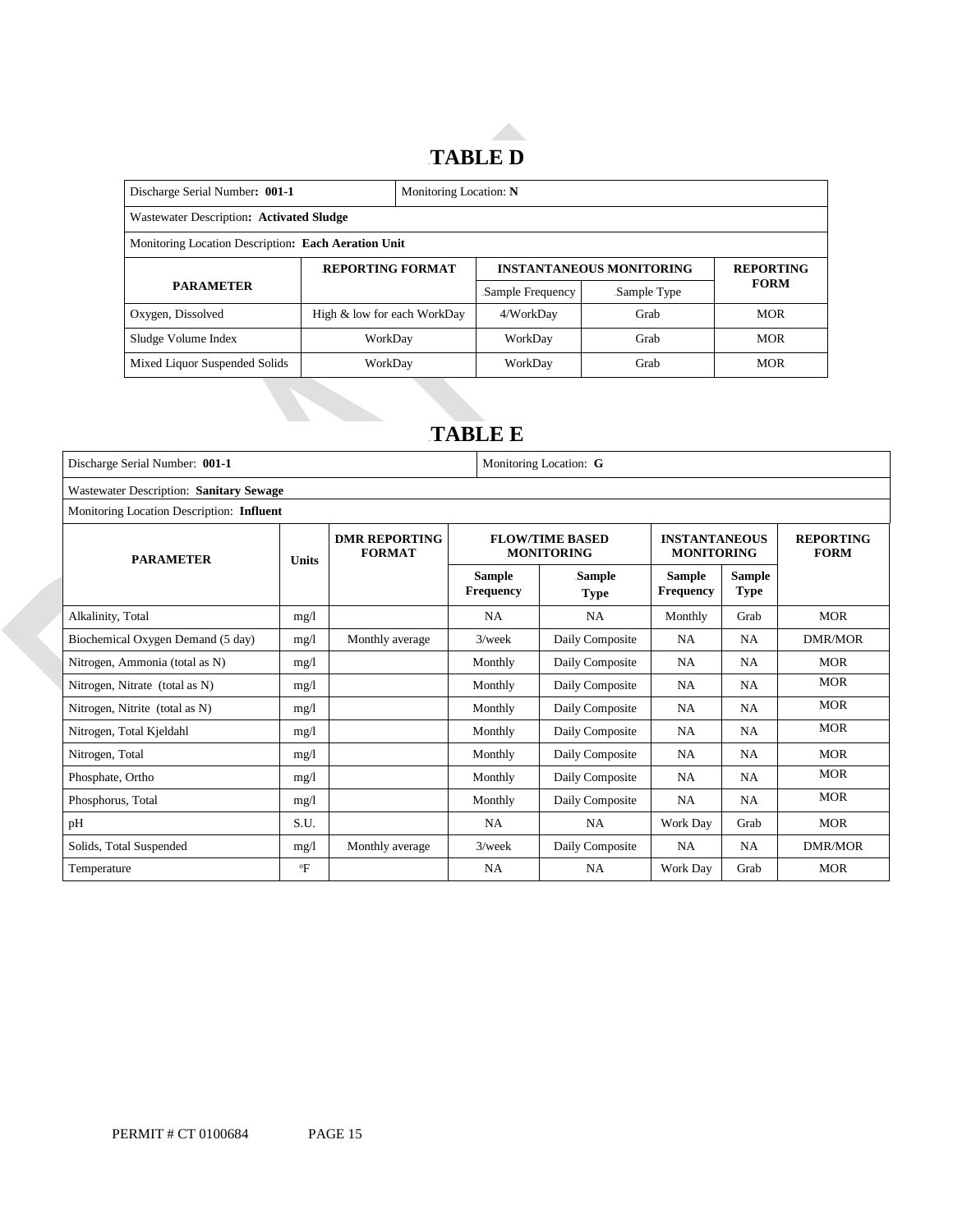## 14B**TABLE D**

| Discharge Serial Number: 001-1                      | Monitoring Location: N      |  |                                 |                  |             |  |
|-----------------------------------------------------|-----------------------------|--|---------------------------------|------------------|-------------|--|
| Wastewater Description: Activated Sludge            |                             |  |                                 |                  |             |  |
| Monitoring Location Description: Each Aeration Unit |                             |  |                                 |                  |             |  |
|                                                     | <b>REPORTING FORMAT</b>     |  | <b>INSTANTANEOUS MONITORING</b> | <b>REPORTING</b> |             |  |
| <b>PARAMETER</b>                                    |                             |  | Sample Frequency                | Sample Type      | <b>FORM</b> |  |
| Oxygen, Dissolved                                   | High & low for each WorkDay |  | 4/WorkDay                       | Grab             | <b>MOR</b>  |  |
| Sludge Volume Index                                 | WorkDay                     |  | WorkDay                         | Grab             | <b>MOR</b>  |  |
| Mixed Liquor Suspended Solids                       | WorkDay                     |  | WorkDay                         | Grab             | <b>MOR</b>  |  |

## 15B**TABLE E**

| Discharge Serial Number: 001-1                 |              | Monitoring Location: G                |                                   |                                             |                                           |                              |                                 |
|------------------------------------------------|--------------|---------------------------------------|-----------------------------------|---------------------------------------------|-------------------------------------------|------------------------------|---------------------------------|
| <b>Wastewater Description: Sanitary Sewage</b> |              |                                       |                                   |                                             |                                           |                              |                                 |
| Monitoring Location Description: Influent      |              |                                       |                                   |                                             |                                           |                              |                                 |
| <b>PARAMETER</b>                               | Units        | <b>DMR REPORTING</b><br><b>FORMAT</b> |                                   | <b>FLOW/TIME BASED</b><br><b>MONITORING</b> | <b>INSTANTANEOUS</b><br><b>MONITORING</b> |                              | <b>REPORTING</b><br><b>FORM</b> |
|                                                |              |                                       | <b>Sample</b><br><b>Frequency</b> | Sample<br><b>Type</b>                       | <b>Sample</b><br><b>Frequency</b>         | <b>Sample</b><br><b>Type</b> |                                 |
| Alkalinity, Total                              | mg/l         |                                       | <b>NA</b>                         | <b>NA</b>                                   | Monthly                                   | Grab                         | <b>MOR</b>                      |
| Biochemical Oxygen Demand (5 day)              | mg/1         | Monthly average                       | $3$ /week                         | Daily Composite                             | NA                                        | <b>NA</b>                    | <b>DMR/MOR</b>                  |
| Nitrogen, Ammonia (total as N)                 | mg/1         |                                       | Monthly                           | Daily Composite                             | NA                                        | <b>NA</b>                    | <b>MOR</b>                      |
| Nitrogen, Nitrate (total as N)                 | mg/l         |                                       | Monthly                           | Daily Composite                             | NA                                        | <b>NA</b>                    | <b>MOR</b>                      |
| Nitrogen, Nitrite (total as N)                 | mg/1         |                                       | Monthly                           | Daily Composite                             | NA                                        | <b>NA</b>                    | <b>MOR</b>                      |
| Nitrogen, Total Kjeldahl                       | mg/1         |                                       | Monthly                           | Daily Composite                             | NA                                        | <b>NA</b>                    | <b>MOR</b>                      |
| Nitrogen, Total                                | mg/1         |                                       | Monthly                           | Daily Composite                             | <b>NA</b>                                 | <b>NA</b>                    | <b>MOR</b>                      |
| Phosphate, Ortho                               | mg/1         |                                       | Monthly                           | Daily Composite                             | NA                                        | <b>NA</b>                    | <b>MOR</b>                      |
| Phosphorus, Total                              | mg/1         |                                       | Monthly                           | Daily Composite                             | NA                                        | <b>NA</b>                    | <b>MOR</b>                      |
| pH                                             | S.U.         |                                       | <b>NA</b>                         | <b>NA</b>                                   | Work Day                                  | Grab                         | <b>MOR</b>                      |
| Solids, Total Suspended                        | mg/1         | Monthly average                       | $3$ /week                         | Daily Composite                             | <b>NA</b>                                 | <b>NA</b>                    | <b>DMR/MOR</b>                  |
| Temperature                                    | $\mathrm{P}$ |                                       | <b>NA</b>                         | <b>NA</b>                                   | Work Day                                  | Grab                         | <b>MOR</b>                      |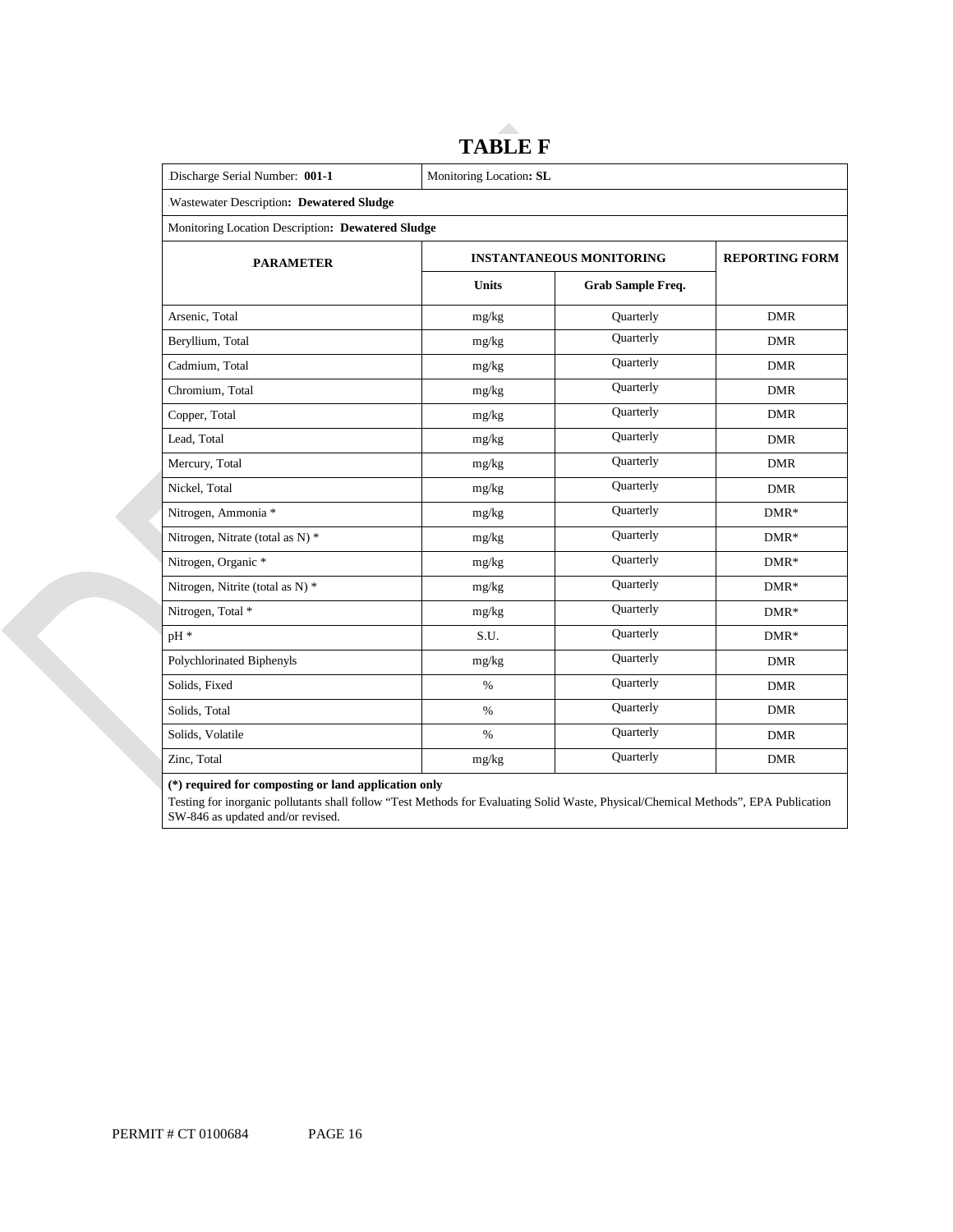| Discharge Serial Number: 001-1                    | Monitoring Location: SL         |                          |            |  |  |
|---------------------------------------------------|---------------------------------|--------------------------|------------|--|--|
| Wastewater Description: Dewatered Sludge          |                                 |                          |            |  |  |
| Monitoring Location Description: Dewatered Sludge |                                 |                          |            |  |  |
| <b>PARAMETER</b>                                  | <b>INSTANTANEOUS MONITORING</b> | <b>REPORTING FORM</b>    |            |  |  |
|                                                   | <b>Units</b>                    | <b>Grab Sample Freq.</b> |            |  |  |
| Arsenic, Total                                    | mg/kg                           | Quarterly                | <b>DMR</b> |  |  |
| Beryllium, Total                                  | mg/kg                           | Quarterly                | <b>DMR</b> |  |  |
| Cadmium, Total                                    | mg/kg                           | Quarterly                | <b>DMR</b> |  |  |
| Chromium, Total                                   | mg/kg                           | Quarterly                | <b>DMR</b> |  |  |
| Copper, Total                                     | mg/kg                           | Quarterly                | <b>DMR</b> |  |  |
| Lead, Total                                       | mg/kg                           | Quarterly                | <b>DMR</b> |  |  |
| Mercury, Total                                    | mg/kg                           | Quarterly                | <b>DMR</b> |  |  |
| Nickel, Total                                     | mg/kg                           | Quarterly                | <b>DMR</b> |  |  |
| Nitrogen, Ammonia *                               | mg/kg                           | Quarterly                | $DMR*$     |  |  |
| Nitrogen, Nitrate (total as N) *                  | mg/kg                           | Quarterly                | $DMR*$     |  |  |
| Nitrogen, Organic *                               | mg/kg                           | Quarterly                | $DMR*$     |  |  |
| Nitrogen, Nitrite (total as N) *                  | mg/kg                           | Quarterly                | $DMR*$     |  |  |
| Nitrogen, Total *                                 | mg/kg                           | Quarterly                | $DMR*$     |  |  |
| pH *                                              | S.U.                            | Quarterly                | $DMR*$     |  |  |
| Polychlorinated Biphenyls                         | mg/kg                           | Quarterly                | <b>DMR</b> |  |  |
| Solids, Fixed                                     | $\%$                            | Quarterly                | <b>DMR</b> |  |  |
| Solids, Total                                     | $\%$                            | Quarterly                | <b>DMR</b> |  |  |
| Solids, Volatile                                  | $\%$                            | Quarterly                | <b>DMR</b> |  |  |
| Zinc, Total                                       | mg/kg                           | Quarterly                | <b>DMR</b> |  |  |

# **TABLE F**

**(\*) required for composting or land application only** 

Testing for inorganic pollutants shall follow "Test Methods for Evaluating Solid Waste, Physical/Chemical Methods", EPA Publication SW-846 as updated and/or revised.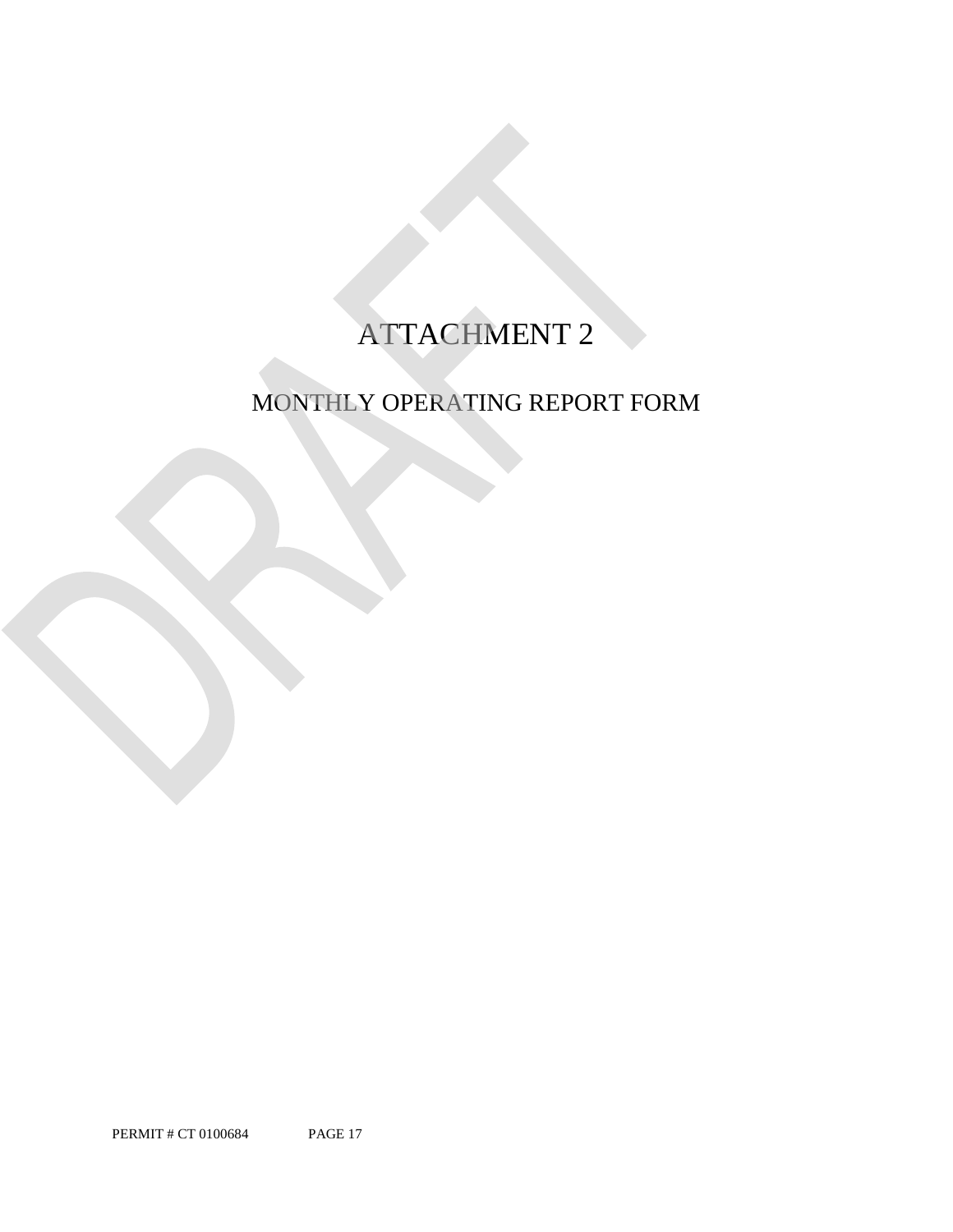## ATTACHMENT 2

## MONTHLY OPERATING REPORT FORM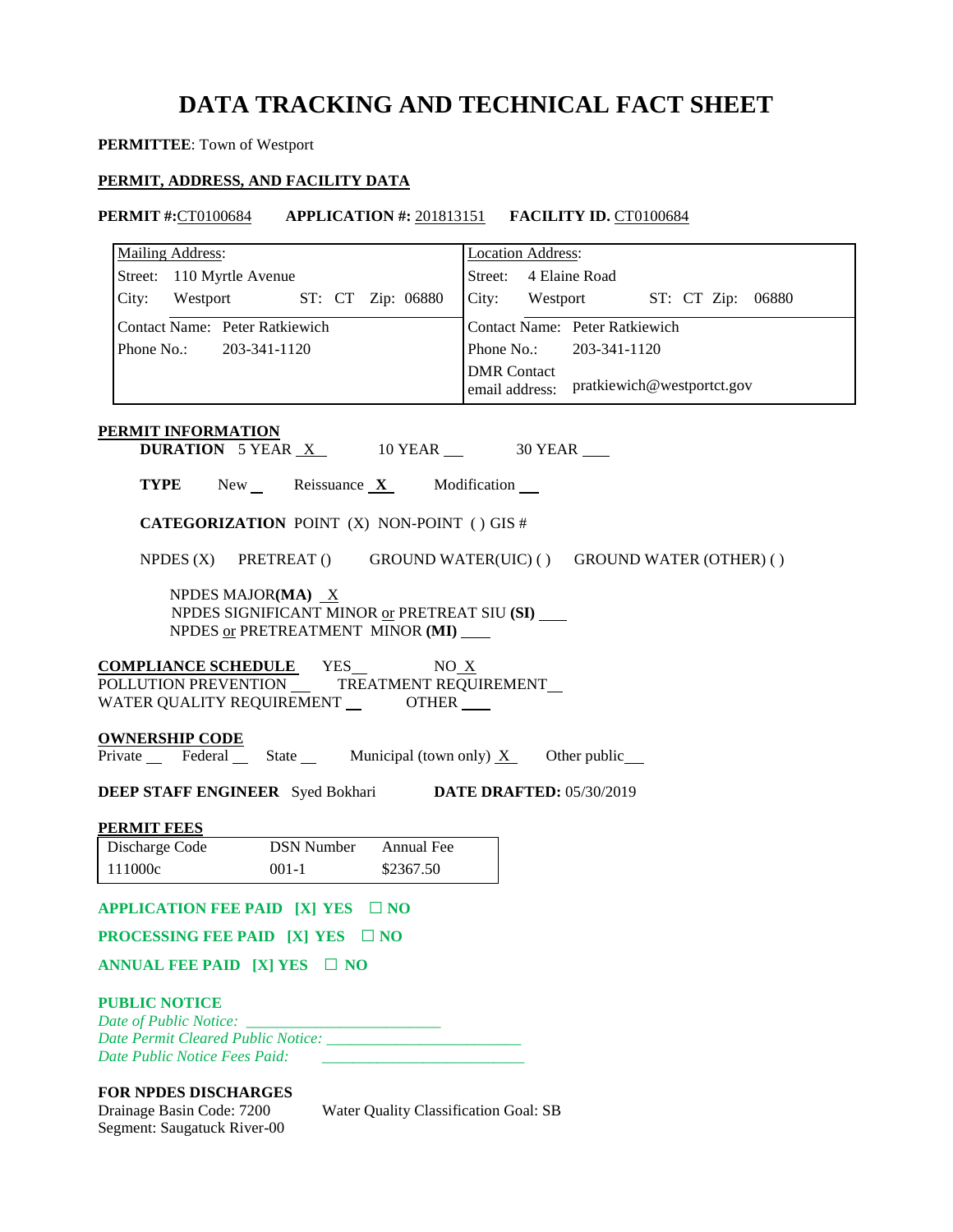### **DATA TRACKING AND TECHNICAL FACT SHEET**

### **PERMITTEE**: Town of Westport

### **PERMIT, ADDRESS, AND FACILITY DATA**

**PERMIT #:CT0100684 APPLICATION #: 201813151 <b>FACILITY ID. CT0100684** 

| <b>Mailing Address:</b>                                                                                 | <b>Location Address:</b>                                        |
|---------------------------------------------------------------------------------------------------------|-----------------------------------------------------------------|
| Street: 110 Myrtle Avenue                                                                               | Street: 4 Elaine Road                                           |
| City: Westport ST: CT Zip: 06880                                                                        | City: Westport ST: CT Zip: 06880                                |
| Contact Name: Peter Ratkiewich                                                                          | <b>Contact Name: Peter Ratkiewich</b>                           |
| Phone No.: 203-341-1120                                                                                 | Phone No.: 203-341-1120                                         |
|                                                                                                         | <b>DMR</b> Contact<br>email address: pratkiewich@westportct.gov |
| <b>PERMIT INFORMATION</b><br><b>DURATION</b> 5 YEAR $X$ 10 YEAR $\_\$ 30 YEAR $\_\$                     |                                                                 |
| <b>TYPE</b> New Reissuance $X$ Modification $\blacksquare$                                              |                                                                 |
| <b>CATEGORIZATION POINT (X) NON-POINT () GIS #</b>                                                      |                                                                 |
| NPDES (X) PRETREAT () GROUND WATER(UIC) () GROUND WATER (OTHER) ()                                      |                                                                 |
| NPDES MAJOR(MA) $X$<br>NPDES SIGNIFICANT MINOR or PRETREAT SIU (SI)<br>NPDES or PRETREATMENT MINOR (MI) |                                                                 |
| <b>COMPLIANCE SCHEDULE</b> YES<br>NO X<br>WATER QUALITY REQUIREMENT ________ OTHER ____                 |                                                                 |
| <b>OWNERSHIP CODE</b>                                                                                   |                                                                 |
| Private Federal State Municipal (town only) $X$ Other public                                            |                                                                 |
| <b>DEEP STAFF ENGINEER</b> Syed Bokhari DATE DRAFTED: 05/30/2019                                        |                                                                 |
| <b>PERMIT FEES</b>                                                                                      |                                                                 |
| Discharge Code<br><b>DSN Number</b><br>Annual Fee                                                       |                                                                 |
| 111000c<br>$001 - 1$<br>\$2367.50                                                                       |                                                                 |
| APPLICATION FEE PAID $[X]$ YES $\Box$ NO                                                                |                                                                 |
| <b>PROCESSING FEE PAID [X] YES</b> $\Box$ NO                                                            |                                                                 |
| ANNUAL FEE PAID [X] YES $\Box$ NO                                                                       |                                                                 |
| <b>PUBLIC NOTICE</b><br>Date Permit Cleared Public Notice:<br>Date Public Notice Fees Paid:             |                                                                 |

### **FOR NPDES DISCHARGES**

Drainage Basin Code: 7200 Segment: Saugatuck River-00 Water Quality Classification Goal: SB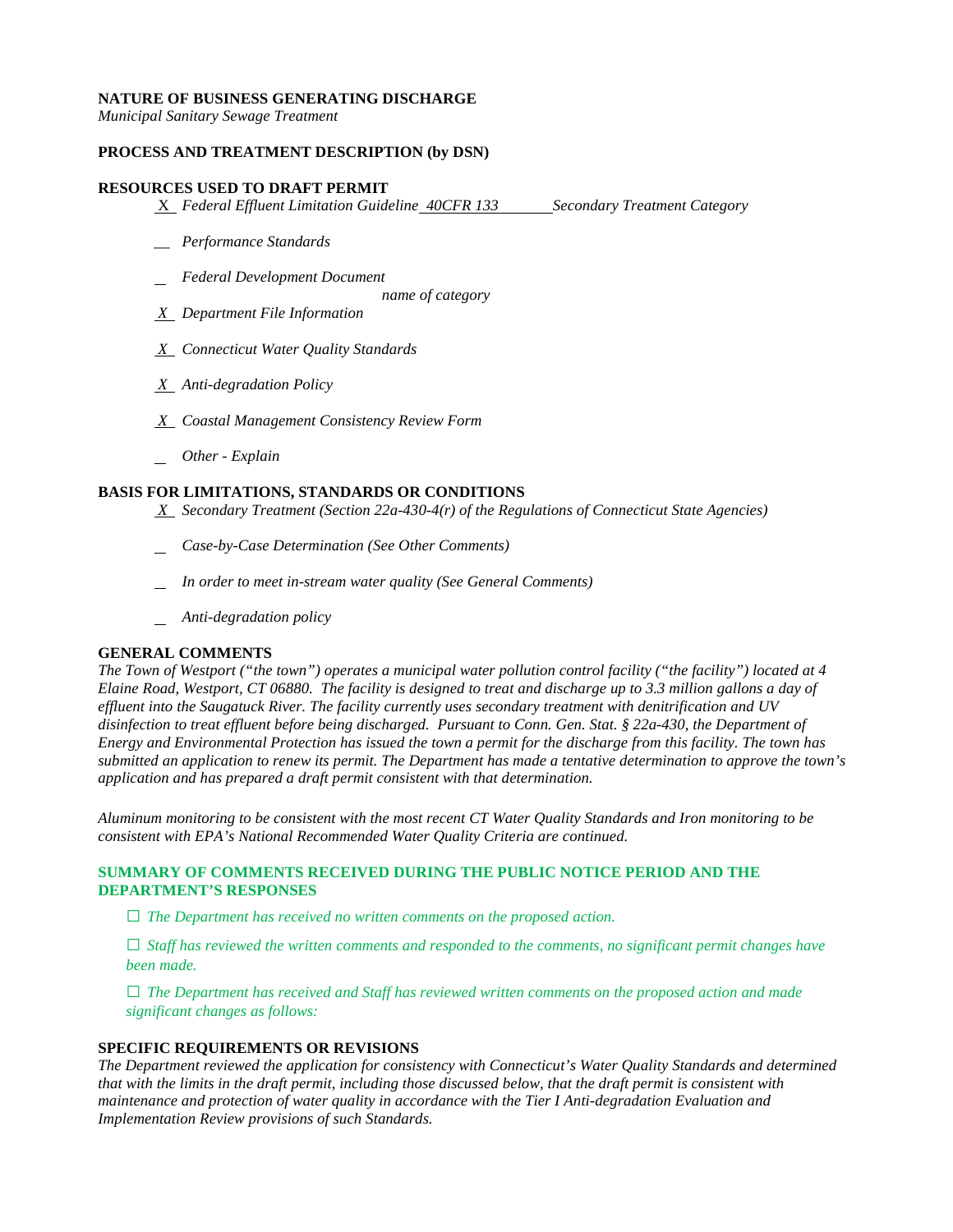### **NATURE OF BUSINESS GENERATING DISCHARGE**

*Municipal Sanitary Sewage Treatment* 

### **PROCESS AND TREATMENT DESCRIPTION (by DSN)**

### **RESOURCES USED TO DRAFT PERMIT**

**X** *Federal Effluent Limitation Guideline* 40CFR 133 Secondary Treatment Category

- *\_\_ Performance Standards*
- *Federal Development Document*

*name of category* 

- *X Department File Information*
- *X Connecticut Water Quality Standards*
- *X Anti-degradation Policy*
- *X Coastal Management Consistency Review Form*
- *Other - Explain*

### **BASIS FOR LIMITATIONS, STANDARDS OR CONDITIONS**

- *X Secondary Treatment (Section 22a-430-4(r) of the Regulations of Connecticut State Agencies)*
- *Case-by-Case Determination (See Other Comments)*
- *In order to meet in-stream water quality (See General Comments)*
- *Anti-degradation policy*

### **GENERAL COMMENTS**

 *Elaine Road, Westport, CT 06880. The facility is designed to treat and discharge up to 3.3 million gallons a day of effluent into the Saugatuck River. The facility currently uses secondary treatment with denitrification and UV application and has prepared a draft permit consistent with that determination. The Town of Westport ("the town") operates a municipal water pollution control facility ("the facility") located at 4 disinfection to treat effluent before being discharged. Pursuant to Conn. Gen. Stat. § 22a-430, the Department of Energy and Environmental Protection has issued the town a permit for the discharge from this facility. The town has submitted an application to renew its permit. The Department has made a tentative determination to approve the town's* 

application and has prepared a draft permit consistent with that determination.<br>Aluminum monitoring to be consistent with the most recent CT Water Quality Standards and Iron monitoring to be *consistent with EPA's National Recommended Water Quality Criteria are continued.* 

### **SUMMARY OF COMMENTS RECEIVED DURING THE PUBLIC NOTICE PERIOD AND THE DEPARTMENT'S RESPONSES**

**□** *The Department has received no written comments on the proposed action.* 

**□** *Staff has reviewed the written comments and responded to the comments, no significant permit changes have been made.* 

**□** *The Department has received and Staff has reviewed written comments on the proposed action and made significant changes as follows:* 

### **SPECIFIC REQUIREMENTS OR REVISIONS**

 *Implementation Review provisions of such Standards. The Department reviewed the application for consistency with Connecticut's Water Quality Standards and determined that with the limits in the draft permit, including those discussed below, that the draft permit is consistent with maintenance and protection of water quality in accordance with the Tier I Anti-degradation Evaluation and*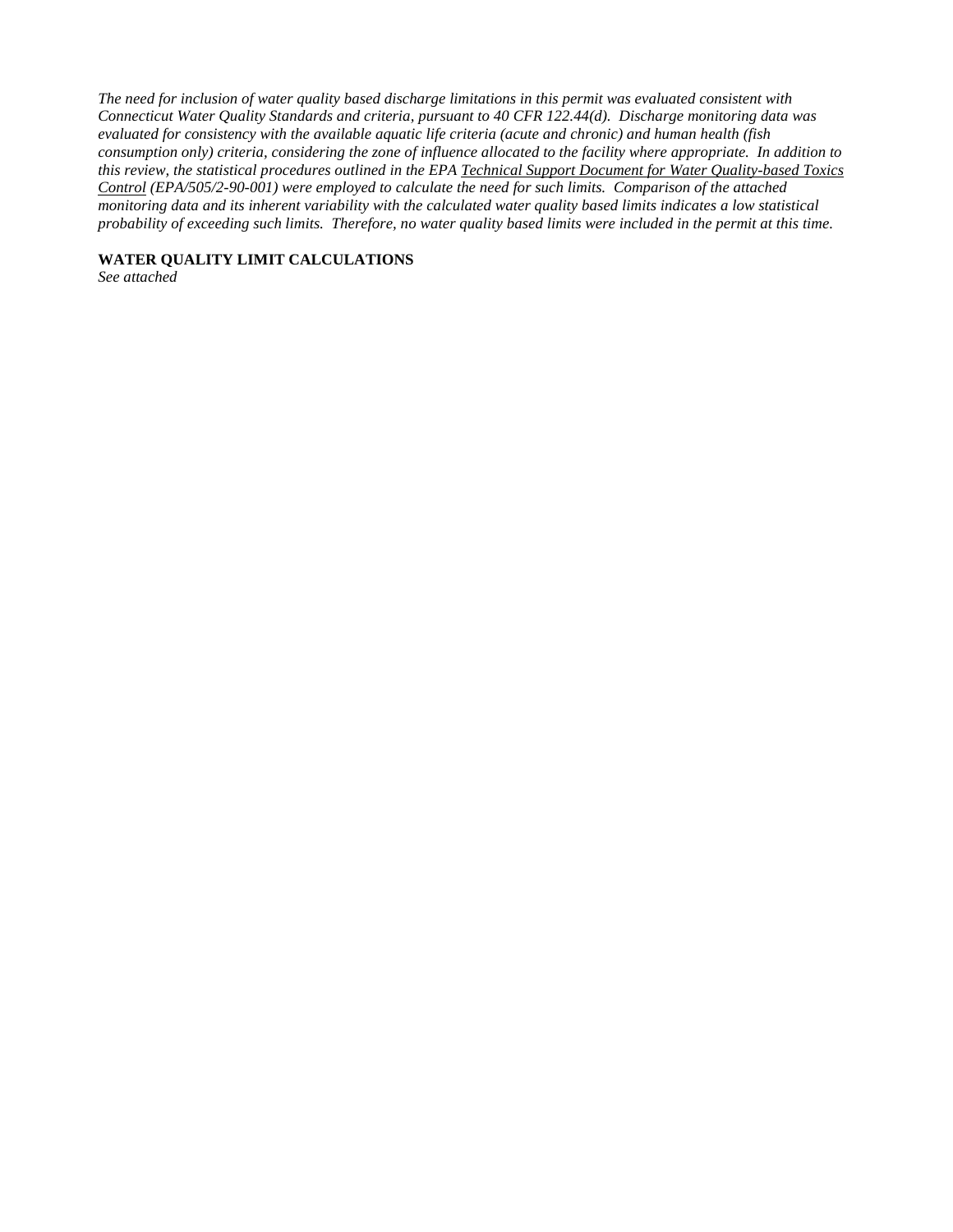*Connecticut Water Quality Standards and criteria, pursuant to 40 CFR 122.44(d). Discharge monitoring data was consumption only) criteria, considering the zone of influence allocated to the facility where appropriate. In addition to The need for inclusion of water quality based discharge limitations in this permit was evaluated consistent with evaluated for consistency with the available aquatic life criteria (acute and chronic) and human health (fish this review, the statistical procedures outlined in the EPA Technical Support Document for Water Quality-based Toxics Control (EPA/505/2-90-001) were employed to calculate the need for such limits. Comparison of the attached monitoring data and its inherent variability with the calculated water quality based limits indicates a low statistical probability of exceeding such limits. Therefore, no water quality based limits were included in the permit at this time.* 

**WATER QUALITY LIMIT CALCULATIONS** 

*See attached*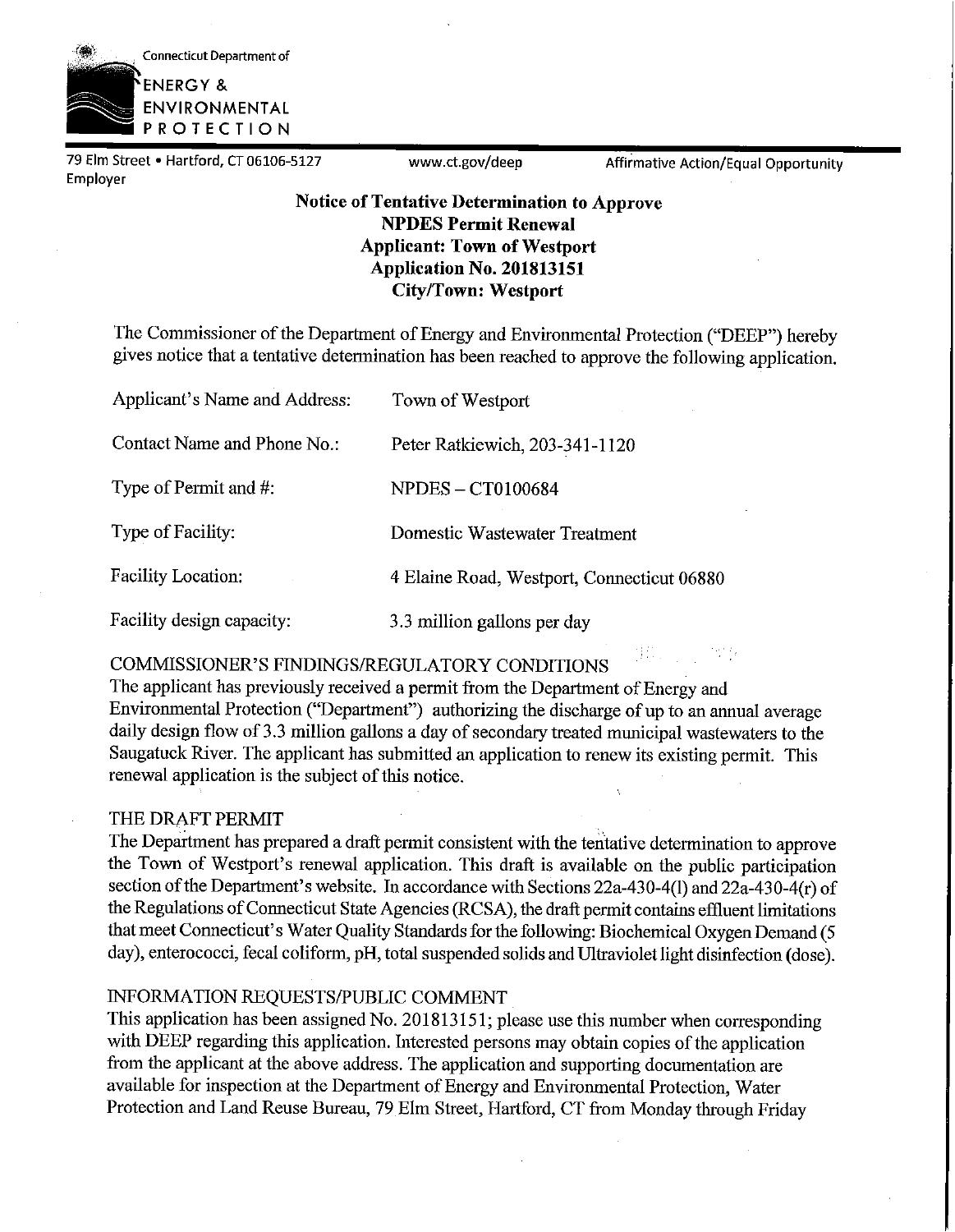

79 Elm Street • Hartford, CT 06106-5127 <www.ct.gov/deep> Affirmative Action/Equal Opportunity Employer

### **Notice of Tentative Determination to Approve NPDES Permit Renewal Applicant: Town of Westport Application No. 201813151 City/Town: Westport**

The Commissioner of the Department of Energy and Environmental Protection ("DEEP") hereby gives notice that a tentative determination has been reached to approve the following application.

| Applicant's Name and Address: | Town of Westport                           |
|-------------------------------|--------------------------------------------|
| Contact Name and Phone No.:   | Peter Ratkiewich, 203-341-1120             |
| Type of Permit and #:         | <b>NPDES – CT0100684</b>                   |
| Type of Facility:             | Domestic Wastewater Treatment              |
| <b>Facility Location:</b>     | 4 Elaine Road, Westport, Connecticut 06880 |
| Facility design capacity:     | 3.3 million gallons per day                |

COMMISSIONER'S FINDINGS/REGULATORY CONDITIONS

The applicant has previously received a permit from the Department of Energy and Environmental Protection ("Department") authorizing the discharge of up to an annual average daily design flow of 3.3 million gallons a day of secondary treated municipal wastewaters to the Saugatuck River. The applicant has submitted an application to renew its existing permit. This renewal application is the subject of this notice.

### THE DRAFT PERMIT

The Department has prepared a draft permit consistent with the tentative determination to approve the Town of Westport's renewal application. This draft is available on the public participation section of the Department's website. In accordance with Sections  $22a-430-4(1)$  and  $22a-430-4(r)$  of the Regulations of Connecticut State Agencies (RCSA), the draft permit contains effluent limitations that meet Connecticut's Water Quality Standards for the following: Biochemical Oxygen Demand (5 day), enterococci, fecal coliform, pH, total suspended solids and Ultraviolet light disinfection (dose).

### INFORMATION REQUESTS/PUBLIC COMMENT

This application has been assigned No. 201813151; please use this number when corresponding with DEEP regarding this application. Interested persons may obtain copies of the application from the applicant at the above address. The application and supporting documentation are available for inspection at the Department of Energy and Environmental Protection, Water Protection and Land Reuse Bureau, 79 Elm Street, Hartford, CT from Monday through Friday